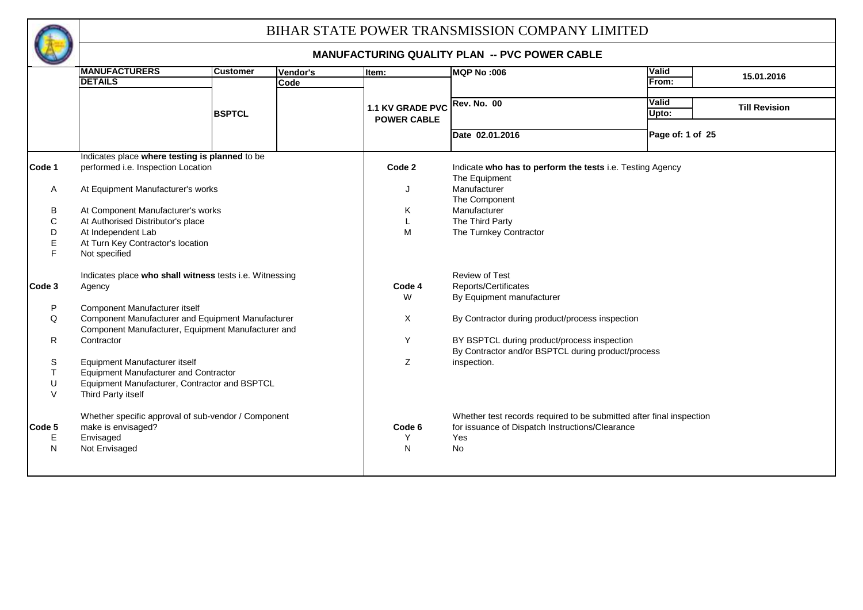

|              | <b>MANUFACTURERS</b>                                    | <b>Customer</b> | Vendor's | Item:              | <b>MQP No:006</b>                                                    | Valid                                |  |
|--------------|---------------------------------------------------------|-----------------|----------|--------------------|----------------------------------------------------------------------|--------------------------------------|--|
|              | <b>DETAILS</b>                                          |                 | Code     |                    |                                                                      | 15.01.2016<br>From:                  |  |
|              |                                                         |                 |          |                    |                                                                      |                                      |  |
|              |                                                         |                 |          | 1.1 KV GRADE PVC   | <b>Rev. No. 00</b>                                                   | <b>Valid</b><br><b>Till Revision</b> |  |
|              |                                                         | <b>BSPTCL</b>   |          | <b>POWER CABLE</b> |                                                                      | Upto:                                |  |
|              |                                                         |                 |          |                    | Date 02.01.2016                                                      | Page of: 1 of 25                     |  |
|              | Indicates place where testing is planned to be          |                 |          |                    |                                                                      |                                      |  |
| Code 1       | performed i.e. Inspection Location                      |                 |          | Code 2             | Indicate who has to perform the tests i.e. Testing Agency            |                                      |  |
|              |                                                         |                 |          |                    | The Equipment                                                        |                                      |  |
| Α            | At Equipment Manufacturer's works                       |                 |          | J                  | Manufacturer                                                         |                                      |  |
|              |                                                         |                 |          |                    | The Component                                                        |                                      |  |
| В            | At Component Manufacturer's works                       |                 |          | Κ                  | Manufacturer                                                         |                                      |  |
| С            | At Authorised Distributor's place                       |                 |          | L                  | The Third Party                                                      |                                      |  |
| D            | At Independent Lab                                      |                 |          | M                  | The Turnkey Contractor                                               |                                      |  |
| E            | At Turn Key Contractor's location                       |                 |          |                    |                                                                      |                                      |  |
|              | Not specified                                           |                 |          |                    |                                                                      |                                      |  |
|              | Indicates place who shall witness tests i.e. Witnessing |                 |          |                    | Review of Test                                                       |                                      |  |
| Code 3       | Agency                                                  |                 |          | Code 4<br>W        | Reports/Certificates<br>By Equipment manufacturer                    |                                      |  |
| P            | Component Manufacturer itself                           |                 |          |                    |                                                                      |                                      |  |
| Q            | Component Manufacturer and Equipment Manufacturer       |                 |          | X                  | By Contractor during product/process inspection                      |                                      |  |
|              | Component Manufacturer, Equipment Manufacturer and      |                 |          |                    |                                                                      |                                      |  |
| R            | Contractor                                              |                 |          | Y                  | BY BSPTCL during product/process inspection                          |                                      |  |
|              |                                                         |                 |          |                    | By Contractor and/or BSPTCL during product/process                   |                                      |  |
| S            | Equipment Manufacturer itself                           |                 |          | Z                  | inspection.                                                          |                                      |  |
| т            | <b>Equipment Manufacturer and Contractor</b>            |                 |          |                    |                                                                      |                                      |  |
| U            | Equipment Manufacturer, Contractor and BSPTCL           |                 |          |                    |                                                                      |                                      |  |
| $\vee$       | Third Party itself                                      |                 |          |                    |                                                                      |                                      |  |
|              | Whether specific approval of sub-vendor / Component     |                 |          |                    | Whether test records required to be submitted after final inspection |                                      |  |
| Code 5       | make is envisaged?                                      |                 |          | Code 6             | for issuance of Dispatch Instructions/Clearance                      |                                      |  |
| Е            | Envisaged                                               |                 |          | Y                  | Yes                                                                  |                                      |  |
| $\mathsf{N}$ | Not Envisaged                                           |                 |          | $\mathsf{N}$       | <b>No</b>                                                            |                                      |  |
|              |                                                         |                 |          |                    |                                                                      |                                      |  |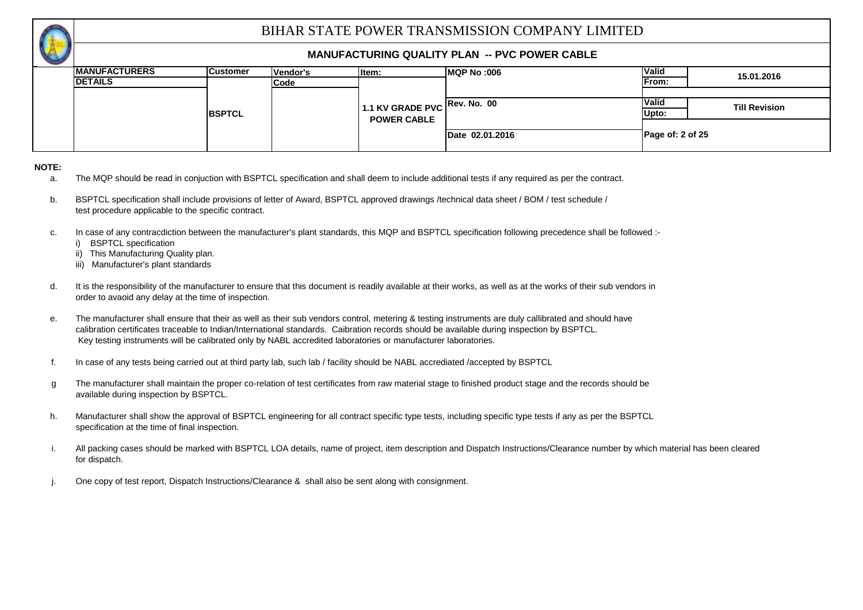

#### **MANUFACTURING QUALITY PLAN -- PVC POWER CABLE**

| $\sim$ |                       |                 |          |                              |                 |                  |                      |
|--------|-----------------------|-----------------|----------|------------------------------|-----------------|------------------|----------------------|
|        | <b>IMANUFACTURERS</b> | <b>Customer</b> | Vendor's | litem:                       | MQP No:006      | <b>Valid</b>     | 15.01.2016           |
|        | <b>DETAILS</b>        |                 | Code     |                              |                 | From:            |                      |
|        |                       |                 |          |                              |                 |                  |                      |
|        |                       |                 |          | 1.1 KV GRADE PVC Rev. No. 00 |                 | <b>Valid</b>     | <b>Till Revision</b> |
|        | <b>BSPTCL</b>         |                 |          | <b>POWER CABLE</b>           |                 | Upto:            |                      |
|        |                       |                 |          |                              |                 |                  |                      |
|        |                       |                 |          |                              | Date 02.01.2016 | Page of: 2 of 25 |                      |
|        |                       |                 |          |                              |                 |                  |                      |

#### **NOTE:**

- a. The MQP should be read in conjuction with BSPTCL specification and shall deem to include additional tests if any required as per the contract.
- b. BSPTCL specification shall include provisions of letter of Award, BSPTCL approved drawings /technical data sheet / BOM / test schedule / test procedure applicable to the specific contract.
- c. In case of any contracdiction between the manufacturer's plant standards, this MQP and BSPTCL specification following precedence shall be followed :
	- i) BSPTCL specification
	- ii) This Manufacturing Quality plan.
	- iii) Manufacturer's plant standards
- d. It is the responsibility of the manufacturer to ensure that this document is readily available at their works, as well as at the works of their sub vendors in order to avaoid any delay at the time of inspection.
- e. The manufacturer shall ensure that their as well as their sub vendors control, metering & testing instruments are duly callibrated and should have calibration certificates traceable to Indian/International standards. Caibration records should be available during inspection by BSPTCL. Key testing instruments will be calibrated only by NABL accredited laboratories or manufacturer laboratories.
- f. In case of any tests being carried out at third party lab, such lab / facility should be NABL accrediated /accepted by BSPTCL
- g The manufacturer shall maintain the proper co-relation of test certificates from raw material stage to finished product stage and the records should be available during inspection by BSPTCL.
- h. specification at the time of final inspection. Manufacturer shall show the approval of BSPTCL engineering for all contract specific type tests, including specific type tests if any as per the BSPTCL
- i. All packing cases should be marked with BSPTCL LOA details, name of project, item description and Dispatch Instructions/Clearance number by which material has been cleared for dispatch.
- j. One copy of test report, Dispatch Instructions/Clearance & shall also be sent along with consignment.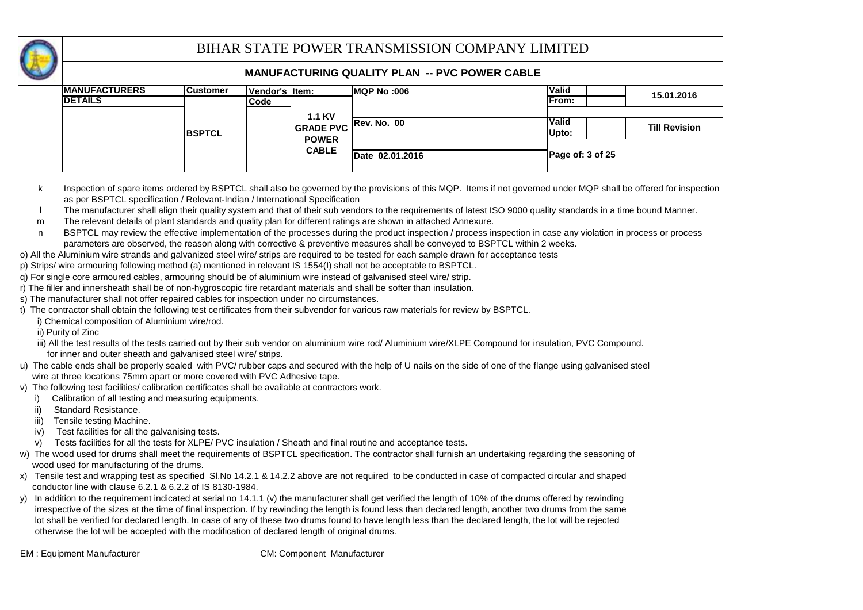

| <b>IMANUFACTURERS</b> | <b>Customer</b> | Vendor's litem: |                  | <b>IMQP No :006</b> | <b>Valid</b>       | 15.01.2016           |
|-----------------------|-----------------|-----------------|------------------|---------------------|--------------------|----------------------|
| <b>IDETAILS</b>       |                 | Code            |                  |                     | <b>IFrom:</b>      |                      |
|                       |                 |                 | <b>1.1 KV</b>    |                     |                    |                      |
|                       |                 |                 | <b>GRADE PVC</b> | <b>Rev. No. 00</b>  | <b>Valid</b>       | <b>Till Revision</b> |
|                       | <b>IBSPTCL</b>  |                 | <b>POWER</b>     |                     | Upto:              |                      |
|                       |                 |                 |                  |                     |                    |                      |
|                       |                 |                 | <b>CABLE</b>     | Date 02.01.2016     | Page of: $3$ of 25 |                      |
|                       |                 |                 |                  |                     |                    |                      |

- k Inspection of spare items ordered by BSPTCL shall also be governed by the provisions of this MQP. Items if not governed under MQP shall be offered for inspection as per BSPTCL specification / Relevant-Indian / International Specification
- l The manufacturer shall align their quality system and that of their sub vendors to the requirements of latest ISO 9000 quality standards in a time bound Manner.
- m The relevant details of plant standards and quality plan for different ratings are shown in attached Annexure.
- n BSPTCL may review the effective implementation of the processes during the product inspection / process inspection in case any violation in process or process parameters are observed, the reason along with corrective & preventive measures shall be conveyed to BSPTCL within 2 weeks.
- o) All the Aluminium wire strands and galvanized steel wire/ strips are required to be tested for each sample drawn for acceptance tests
- p) Strips/ wire armouring following method (a) mentioned in relevant IS 1554(I) shall not be acceptable to BSPTCL.
- q) For single core armoured cables, armouring should be of aluminium wire instead of galvanised steel wire/ strip.
- r) The filler and innersheath shall be of non-hygroscopic fire retardant materials and shall be softer than insulation.
- s) The manufacturer shall not offer repaired cables for inspection under no circumstances.
- t) The contractor shall obtain the following test certificates from their subvendor for various raw materials for review by BSPTCL.
	- i) Chemical composition of Aluminium wire/rod.
	- ii) Purity of Zinc
	- iii) All the test results of the tests carried out by their sub vendor on aluminium wire rod/ Aluminium wire/XLPE Compound for insulation, PVC Compound. for inner and outer sheath and galvanised steel wire/ strips.
- u) The cable ends shall be properly sealed with PVC/ rubber caps and secured with the help of U nails on the side of one of the flange using galvanised steel wire at three locations 75mm apart or more covered with PVC Adhesive tape.
- v) The following test facilities/ calibration certificates shall be available at contractors work.
	- i) Calibration of all testing and measuring equipments.
	- ii) Standard Resistance.
	- iii) Tensile testing Machine.
	- iv) Test facilities for all the galvanising tests.
	- v) Tests facilities for all the tests for XLPE/ PVC insulation / Sheath and final routine and acceptance tests.
- w) The wood used for drums shall meet the requirements of BSPTCL specification. The contractor shall furnish an undertaking regarding the seasoning of wood used for manufacturing of the drums.
- x) Tensile test and wrapping test as specified Sl.No 14.2.1 & 14.2.2 above are not required to be conducted in case of compacted circular and shaped conductor line with clause 6.2.1 & 6.2.2 of IS 8130-1984.
- y) In addition to the requirement indicated at serial no 14.1.1 (v) the manufacturer shall get verified the length of 10% of the drums offered by rewinding irrespective of the sizes at the time of final inspection. If by rewinding the length is found less than declared length, another two drums from the same lot shall be verified for declared length. In case of any of these two drums found to have length less than the declared length, the lot will be rejected otherwise the lot will be accepted with the modification of declared length of original drums.
-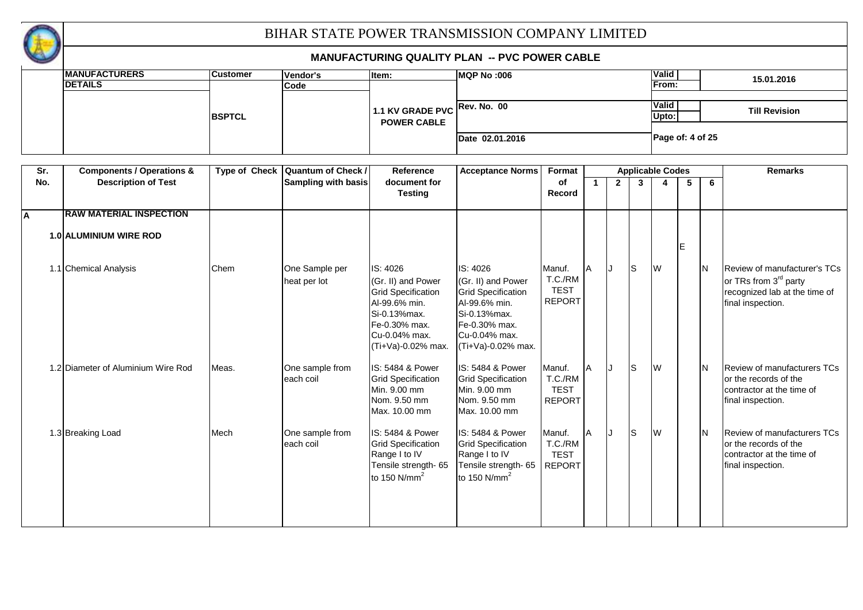

|                         | <b>MANUFACTURERS</b>                 | <b>Customer</b>      | Vendor's                   | Item:                        | <b>MQP No:006</b>            |               |   |             |                |                         |    |     | 15.01.2016                        |
|-------------------------|--------------------------------------|----------------------|----------------------------|------------------------------|------------------------------|---------------|---|-------------|----------------|-------------------------|----|-----|-----------------------------------|
|                         | <b>DETAILS</b>                       |                      | Code                       |                              |                              |               |   |             |                | From:                   |    |     |                                   |
|                         |                                      |                      |                            |                              |                              |               |   |             |                |                         |    |     |                                   |
|                         |                                      |                      |                            | 1.1 KV GRADE PVC             | <b>Rev. No. 00</b>           |               |   |             |                | Valid                   |    |     | <b>Till Revision</b>              |
|                         |                                      | <b>BSPTCL</b>        |                            | <b>POWER CABLE</b>           |                              |               |   |             |                | Upto:                   |    |     |                                   |
|                         |                                      |                      |                            |                              |                              |               |   |             |                |                         |    |     |                                   |
|                         |                                      |                      |                            |                              | Date 02.01.2016              |               |   |             |                | Page of: 4 of 25        |    |     |                                   |
|                         |                                      |                      |                            |                              |                              |               |   |             |                |                         |    |     |                                   |
| $\overline{\text{Sr.}}$ | <b>Components / Operations &amp;</b> | <b>Type of Check</b> | <b>Quantum of Check /</b>  | Reference                    | <b>Acceptance Norms</b>      | Format        |   |             |                | <b>Applicable Codes</b> |    |     | <b>Remarks</b>                    |
| No.                     | <b>Description of Test</b>           |                      | <b>Sampling with basis</b> | document for                 |                              | <b>of</b>     | 1 | $2^{\circ}$ | $\overline{3}$ | $\overline{\mathbf{4}}$ | 5  | 6   |                                   |
|                         |                                      |                      |                            | <b>Testing</b>               |                              | Record        |   |             |                |                         |    |     |                                   |
|                         |                                      |                      |                            |                              |                              |               |   |             |                |                         |    |     |                                   |
| А                       | <b>RAW MATERIAL INSPECTION</b>       |                      |                            |                              |                              |               |   |             |                |                         |    |     |                                   |
|                         |                                      |                      |                            |                              |                              |               |   |             |                |                         |    |     |                                   |
|                         | 1.0 ALUMINIUM WIRE ROD               |                      |                            |                              |                              |               |   |             |                |                         |    |     |                                   |
|                         |                                      |                      |                            |                              |                              |               |   |             |                |                         | İΕ |     |                                   |
|                         | 1.1 Chemical Analysis                | Chem                 | One Sample per             | IS: 4026                     | IS: 4026                     | Manuf.        | A | IJ          | ls             | <b>W</b>                |    | IN. | Review of manufacturer's TCs      |
|                         |                                      |                      | heat per lot               | (Gr. II) and Power           | (Gr. II) and Power           | T.C./RM       |   |             |                |                         |    |     | or TRs from 3 <sup>rd</sup> party |
|                         |                                      |                      |                            | <b>Grid Specification</b>    | <b>Grid Specification</b>    | <b>TEST</b>   |   |             |                |                         |    |     | recognized lab at the time of     |
|                         |                                      |                      |                            | Al-99.6% min.                | Al-99.6% min.                | <b>REPORT</b> |   |             |                |                         |    |     | final inspection.                 |
|                         |                                      |                      |                            | Si-0.13%max.                 | Si-0.13%max.                 |               |   |             |                |                         |    |     |                                   |
|                         |                                      |                      |                            | Fe-0.30% max.                | Fe-0.30% max.                |               |   |             |                |                         |    |     |                                   |
|                         |                                      |                      |                            | Cu-0.04% max.                | Cu-0.04% max.                |               |   |             |                |                         |    |     |                                   |
|                         |                                      |                      |                            | (Ti+Va)-0.02% max.           | (Ti+Va)-0.02% max.           |               |   |             |                |                         |    |     |                                   |
|                         |                                      |                      |                            |                              |                              |               |   |             |                |                         |    |     |                                   |
|                         | 1.2 Diameter of Aluminium Wire Rod   | Meas.                | One sample from            | IS: 5484 & Power             | IS: 5484 & Power             | Manuf.        | A | IJ          | ls             | <b>W</b>                |    | IN. | Review of manufacturers TCs       |
|                         |                                      |                      | each coil                  | <b>Grid Specification</b>    | <b>Grid Specification</b>    | T.C./RM       |   |             |                |                         |    |     | or the records of the             |
|                         |                                      |                      |                            | Min. 9.00 mm<br>Nom. 9.50 mm | Min. 9.00 mm<br>Nom. 9.50 mm | <b>TEST</b>   |   |             |                |                         |    |     | contractor at the time of         |
|                         |                                      |                      |                            | Max. 10.00 mm                | Max. 10.00 mm                | <b>REPORT</b> |   |             |                |                         |    |     | final inspection.                 |
|                         |                                      |                      |                            |                              |                              |               |   |             |                |                         |    |     |                                   |
|                         | 1.3 Breaking Load                    | Mech                 | One sample from            | IS: 5484 & Power             | IS: 5484 & Power             | Manuf.        | A | IJ          | ls             | <b>W</b>                |    | IN. | Review of manufacturers TCs       |
|                         |                                      |                      | each coil                  | <b>Grid Specification</b>    | <b>Grid Specification</b>    | T.C./RM       |   |             |                |                         |    |     | or the records of the             |
|                         |                                      |                      |                            | Range I to IV                | Range I to IV                | <b>TEST</b>   |   |             |                |                         |    |     | contractor at the time of         |
|                         |                                      |                      |                            | Tensile strength-65          | Tensile strength-65          | <b>REPORT</b> |   |             |                |                         |    |     | final inspection.                 |
|                         |                                      |                      |                            | to 150 $N/mm2$               | to 150 $N/mm2$               |               |   |             |                |                         |    |     |                                   |
|                         |                                      |                      |                            |                              |                              |               |   |             |                |                         |    |     |                                   |
|                         |                                      |                      |                            |                              |                              |               |   |             |                |                         |    |     |                                   |
|                         |                                      |                      |                            |                              |                              |               |   |             |                |                         |    |     |                                   |
|                         |                                      |                      |                            |                              |                              |               |   |             |                |                         |    |     |                                   |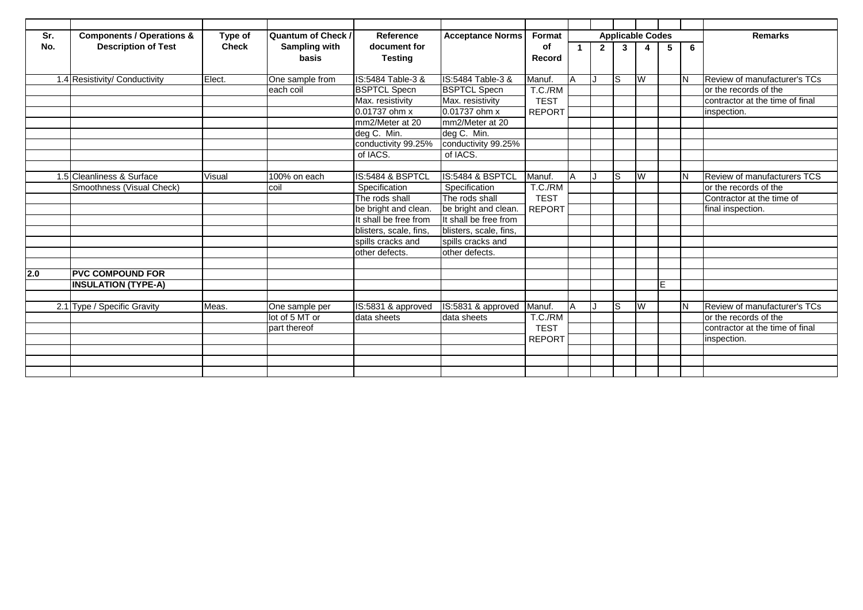| Sr. | <b>Components / Operations &amp;</b> | Type of      | <b>Quantum of Check /</b> | Reference              | <b>Acceptance Norms</b>   | Format        |    |             |                | <b>Applicable Codes</b> |    |          | <b>Remarks</b>                     |
|-----|--------------------------------------|--------------|---------------------------|------------------------|---------------------------|---------------|----|-------------|----------------|-------------------------|----|----------|------------------------------------|
| No. | <b>Description of Test</b>           | <b>Check</b> | Sampling with             | document for           |                           | <b>of</b>     |    | $2^{\circ}$ | $\overline{3}$ | 4                       | 5  | 6        |                                    |
|     |                                      |              | basis                     | <b>Testing</b>         |                           | Record        |    |             |                |                         |    |          |                                    |
|     |                                      |              |                           |                        |                           |               |    |             |                |                         |    |          |                                    |
|     | 1.4 Resistivity/ Conductivity        | Elect.       | One sample from           | IS:5484 Table-3 &      | IS:5484 Table-3 &         | <b>Manuf</b>  | IΑ |             | 1S             | W                       |    | 2        | Review of manufacturer's TCs       |
|     |                                      |              | each coil                 | <b>BSPTCL Specn</b>    | <b>BSPTCL Specn</b>       | T.C./RM       |    |             |                |                         |    |          | or the records of the              |
|     |                                      |              |                           | Max. resistivity       | Max. resistivity          | <b>TEST</b>   |    |             |                |                         |    |          | contractor at the time of final    |
|     |                                      |              |                           | 0.01737 ohm x          | 0.01737 ohm x             | <b>REPORT</b> |    |             |                |                         |    |          | inspection.                        |
|     |                                      |              |                           | mm2/Meter at 20        | mm2/Meter at 20           |               |    |             |                |                         |    |          |                                    |
|     |                                      |              |                           | deg C. Min.            | deg C. Min.               |               |    |             |                |                         |    |          |                                    |
|     |                                      |              |                           | conductivity 99.25%    | conductivity 99.25%       |               |    |             |                |                         |    |          |                                    |
|     |                                      |              |                           | of IACS.               | of IACS.                  |               |    |             |                |                         |    |          |                                    |
|     |                                      |              |                           |                        |                           |               |    |             |                |                         |    |          |                                    |
|     | 1.5 Cleanliness & Surface            | Visual       | $100\%$ on each           | IS:5484 & BSPTCL       | IS:5484 & BSPTCL          | Manuf.        | ΙA |             | ls             | W                       |    | <b>N</b> | <b>Review of manufacturers TCS</b> |
|     | Smoothness (Visual Check)            |              | coil                      | Specification          | Specification             | T.C./RM       |    |             |                |                         |    |          | or the records of the              |
|     |                                      |              |                           | The rods shall         | The rods shall            | <b>TFST</b>   |    |             |                |                         |    |          | Contractor at the time of          |
|     |                                      |              |                           | be bright and clean.   | be bright and clean.      | <b>REPORT</b> |    |             |                |                         |    |          | final inspection.                  |
|     |                                      |              |                           | It shall be free from  | It shall be free from     |               |    |             |                |                         |    |          |                                    |
|     |                                      |              |                           | blisters, scale, fins. | blisters, scale, fins,    |               |    |             |                |                         |    |          |                                    |
|     |                                      |              |                           | spills cracks and      | spills cracks and         |               |    |             |                |                         |    |          |                                    |
|     |                                      |              |                           | other defects.         | other defects.            |               |    |             |                |                         |    |          |                                    |
|     |                                      |              |                           |                        |                           |               |    |             |                |                         |    |          |                                    |
| 2.0 | <b>PVC COMPOUND FOR</b>              |              |                           |                        |                           |               |    |             |                |                         |    |          |                                    |
|     | <b>INSULATION (TYPE-A)</b>           |              |                           |                        |                           |               |    |             |                |                         | E. |          |                                    |
|     |                                      |              |                           |                        |                           |               |    |             |                |                         |    |          |                                    |
|     | 2.1 Type / Specific Gravity          | Meas.        | One sample per            | IS:5831 & approved     | IS:5831 & approved Manuf. |               | ΙA |             | ls             | W                       |    | <b>N</b> | Review of manufacturer's TCs       |
|     |                                      |              | lot of 5 MT or            | data sheets            | data sheets               | T.C./RM       |    |             |                |                         |    |          | or the records of the              |
|     |                                      |              | part thereof              |                        |                           | <b>TEST</b>   |    |             |                |                         |    |          | contractor at the time of final    |
|     |                                      |              |                           |                        |                           | <b>REPORT</b> |    |             |                |                         |    |          | inspection.                        |
|     |                                      |              |                           |                        |                           |               |    |             |                |                         |    |          |                                    |
|     |                                      |              |                           |                        |                           |               |    |             |                |                         |    |          |                                    |
|     |                                      |              |                           |                        |                           |               |    |             |                |                         |    |          |                                    |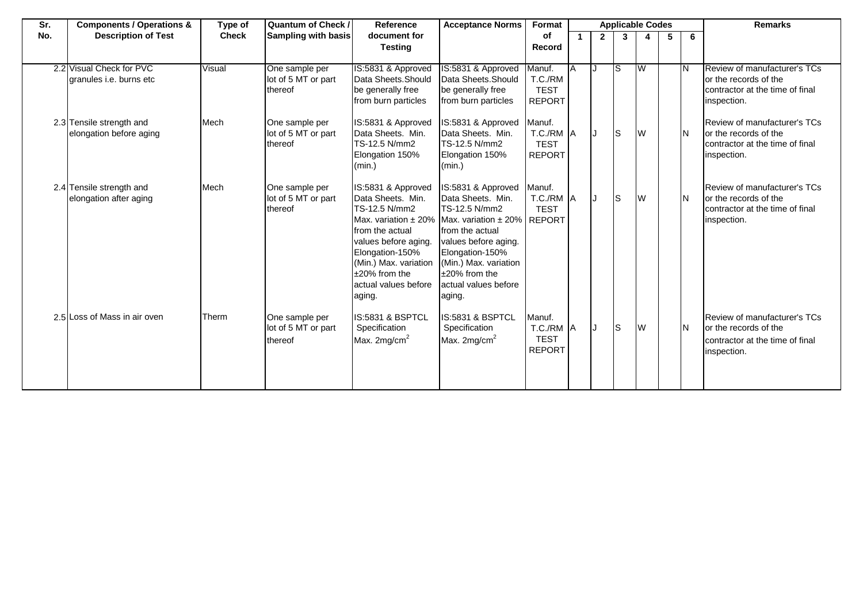| Sr. | <b>Components / Operations &amp;</b>                | Type of      | <b>Quantum of Check /</b>                        | Reference                                                                                                                                                                                             | <b>Acceptance Norms</b>                                                                                                                                                                                                                                             | Format                                              | <b>Applicable Codes</b> |                |    |   |   |    | <b>Remarks</b>                                                                                                 |
|-----|-----------------------------------------------------|--------------|--------------------------------------------------|-------------------------------------------------------------------------------------------------------------------------------------------------------------------------------------------------------|---------------------------------------------------------------------------------------------------------------------------------------------------------------------------------------------------------------------------------------------------------------------|-----------------------------------------------------|-------------------------|----------------|----|---|---|----|----------------------------------------------------------------------------------------------------------------|
| No. | <b>Description of Test</b>                          | <b>Check</b> | <b>Sampling with basis</b>                       | document for<br><b>Testing</b>                                                                                                                                                                        |                                                                                                                                                                                                                                                                     | оf<br>Record                                        |                         | $\overline{2}$ | 3  | 4 | 5 | 6  |                                                                                                                |
|     |                                                     |              |                                                  |                                                                                                                                                                                                       |                                                                                                                                                                                                                                                                     |                                                     |                         |                |    |   |   |    |                                                                                                                |
|     | 2.2 Visual Check for PVC<br>granules i.e. burns etc | Visual       | One sample per<br>lot of 5 MT or part<br>thereof | IS:5831 & Approved<br>Data Sheets. Should<br>be generally free<br>from burn particles                                                                                                                 | IS:5831 & Approved<br>Data Sheets. Should<br>be generally free<br>from burn particles                                                                                                                                                                               | Manuf.<br>T.C./RM<br><b>TEST</b><br><b>REPORT</b>   | TĀ                      | IJ             | IS | W |   |    | Review of manufacturer's TCs<br>or the records of the<br>contractor at the time of final<br>inspection.        |
|     | 2.3 Tensile strength and<br>elongation before aging | Mech         | One sample per<br>lot of 5 MT or part<br>thereof | IS:5831 & Approved<br>Data Sheets. Min.<br>TS-12.5 N/mm2<br>Elongation 150%<br>(min.)                                                                                                                 | IS:5831 & Approved<br>Data Sheets. Min.<br>TS-12.5 N/mm2<br>Elongation 150%<br>(min.)                                                                                                                                                                               | Manuf.<br>T.C./RM A<br><b>TEST</b><br><b>REPORT</b> |                         |                | ls | W |   |    | <b>Review of manufacturer's TCs</b><br>or the records of the<br>contractor at the time of final<br>inspection. |
|     | 2.4 Tensile strength and<br>elongation after aging  | Mech         | One sample per<br>lot of 5 MT or part<br>thereof | IS:5831 & Approved<br>Data Sheets. Min.<br>TS-12.5 N/mm2<br>from the actual<br>values before aging.<br>Elongation-150%<br>(Min.) Max. variation<br>$±20\%$ from the<br>actual values before<br>aging. | IS:5831 & Approved<br>Data Sheets. Min.<br>TS-12.5 N/mm2<br>Max. variation $\pm 20\%$ Max. variation $\pm 20\%$ REPORT<br>from the actual<br>values before aging.<br>Elongation-150%<br>(Min.) Max. variation<br>$±20\%$ from the<br>actual values before<br>aging. | Manuf.<br>T.C./RM A<br><b>TEST</b>                  |                         |                | ls | W |   |    | <b>Review of manufacturer's TCs</b><br>or the records of the<br>contractor at the time of final<br>inspection. |
|     | 2.5 Loss of Mass in air oven                        | Therm        | One sample per<br>lot of 5 MT or part<br>thereof | IS:5831 & BSPTCL<br>Specification<br>Max. $2mg/cm2$                                                                                                                                                   | IS:5831 & BSPTCL<br>Specification<br>Max. $2mg/cm2$                                                                                                                                                                                                                 | Manuf.<br>T.C./RM A<br><b>TEST</b><br><b>REPORT</b> |                         |                | ls | W |   | ΙN | Review of manufacturer's TCs<br>or the records of the<br>contractor at the time of final<br>inspection.        |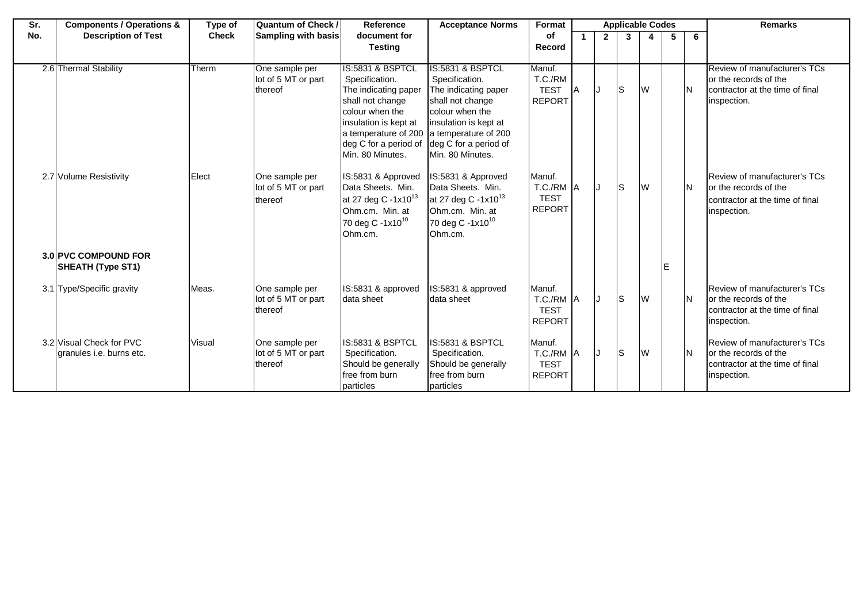| Sr. | <b>Components / Operations &amp;</b>                 | Type of      | <b>Quantum of Check /</b>                        | Reference                                                                                                                                                                                                                       | <b>Acceptance Norms</b>                                                                                                                                                 | Format                                              | <b>Applicable Codes</b> |                |    |    |   |    | <b>Remarks</b>                                                                                                 |
|-----|------------------------------------------------------|--------------|--------------------------------------------------|---------------------------------------------------------------------------------------------------------------------------------------------------------------------------------------------------------------------------------|-------------------------------------------------------------------------------------------------------------------------------------------------------------------------|-----------------------------------------------------|-------------------------|----------------|----|----|---|----|----------------------------------------------------------------------------------------------------------------|
| No. | <b>Description of Test</b>                           | <b>Check</b> | <b>Sampling with basis</b>                       | document for<br><b>Testing</b>                                                                                                                                                                                                  |                                                                                                                                                                         | <b>of</b><br>Record                                 |                         | $\overline{2}$ | 3  |    | 5 | 6  |                                                                                                                |
|     |                                                      |              |                                                  |                                                                                                                                                                                                                                 |                                                                                                                                                                         |                                                     |                         |                |    |    |   |    |                                                                                                                |
|     | 2.6 Thermal Stability                                | Therm        | One sample per<br>lot of 5 MT or part<br>thereof | <b>IS:5831 &amp; BSPTCL</b><br>Specification.<br>The indicating paper<br>shall not change<br>colour when the<br>insulation is kept at<br>a temperature of 200 a temperature of 200<br>deg C for a period of<br>Min. 80 Minutes. | IS:5831 & BSPTCL<br>Specification.<br>The indicating paper<br>shall not change<br>colour when the<br>insulation is kept at<br>deg C for a period of<br>Min. 80 Minutes. | Manuf.<br>T.C./RM<br><b>TEST</b><br><b>REPORT</b>   | IΑ                      |                | Is | W  |   | IΝ | Review of manufacturer's TCs<br>or the records of the<br>contractor at the time of final<br>inspection.        |
|     | 2.7 Volume Resistivity                               | Elect        | One sample per<br>lot of 5 MT or part<br>thereof | IS:5831 & Approved<br>Data Sheets. Min.<br>at 27 deg C -1x10 <sup>13</sup><br>Ohm.cm. Min. at<br>70 deg C -1x10 <sup>10</sup><br>Ohm.cm.                                                                                        | IS:5831 & Approved<br>Data Sheets. Min.<br>at 27 deg C -1x10 <sup>13</sup><br>Ohm.cm. Min. at<br>70 deg C -1x10 <sup>10</sup><br>Ohm.cm.                                | Manuf.<br>T.C./RM A<br><b>TEST</b><br><b>REPORT</b> |                         | IJ             | Is | W  |   | IΝ | <b>Review of manufacturer's TCs</b><br>or the records of the<br>contractor at the time of final<br>inspection. |
|     | 3.0 PVC COMPOUND FOR<br><b>SHEATH (Type ST1)</b>     |              |                                                  |                                                                                                                                                                                                                                 |                                                                                                                                                                         |                                                     |                         |                |    |    | Е |    |                                                                                                                |
|     | 3.1 Type/Specific gravity                            | Meas.        | One sample per<br>lot of 5 MT or part<br>thereof | IS:5831 & approved<br>data sheet                                                                                                                                                                                                | IS:5831 & approved<br>data sheet                                                                                                                                        | Manuf.<br>T.C./RM A<br><b>TEST</b><br><b>REPORT</b> |                         | IJ             | Is | Iw |   | IΝ | <b>Review of manufacturer's TCs</b><br>or the records of the<br>contractor at the time of final<br>inspection. |
|     | 3.2 Visual Check for PVC<br>granules i.e. burns etc. | Visual       | One sample per<br>lot of 5 MT or part<br>thereof | IS:5831 & BSPTCL<br>Specification.<br>Should be generally<br>free from burn<br>particles                                                                                                                                        | IS:5831 & BSPTCL<br>Specification.<br>Should be generally<br>free from burn<br>particles                                                                                | Manuf.<br>T.C./RM A<br><b>TEST</b><br><b>REPORT</b> |                         |                | ls | W  |   | İΝ | <b>Review of manufacturer's TCs</b><br>or the records of the<br>contractor at the time of final<br>inspection. |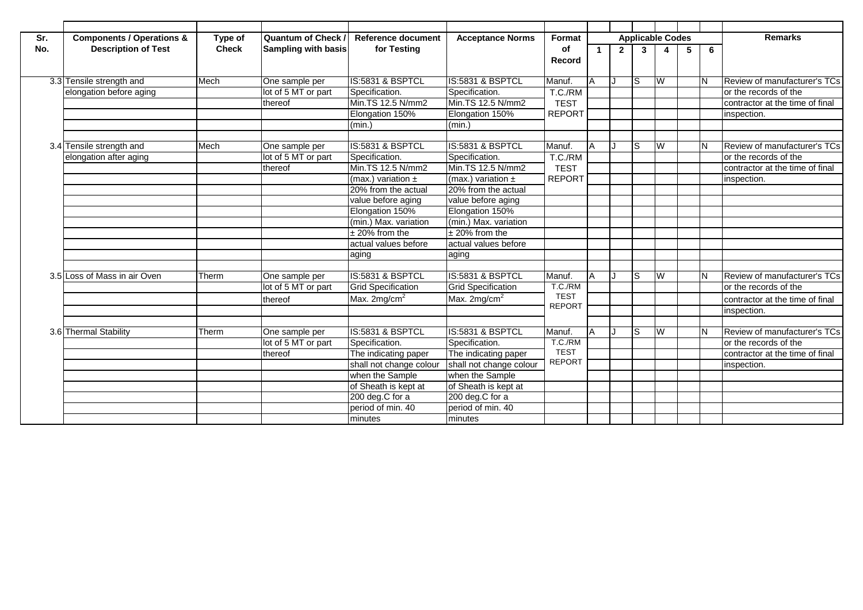| Sr. | <b>Components / Operations &amp;</b> | Type of      | <b>Quantum of Check</b>    | <b>Reference document</b> | <b>Acceptance Norms</b>   | Format        |    |              | <b>Applicable Codes</b> |   |   |     | <b>Remarks</b>                  |
|-----|--------------------------------------|--------------|----------------------------|---------------------------|---------------------------|---------------|----|--------------|-------------------------|---|---|-----|---------------------------------|
| No. | <b>Description of Test</b>           | <b>Check</b> | <b>Sampling with basis</b> | for Testing               |                           | of<br>Record  |    | $\mathbf{2}$ | $3^{\circ}$             | 4 | 5 | 6   |                                 |
|     | 3.3 Tensile strength and             | Mech         | One sample per             | IS:5831 & BSPTCL          | IS:5831 & BSPTCL          | Manuf.        | ΙA |              | S                       | W |   | IN. | Review of manufacturer's TCs    |
|     | elongation before aging              |              | lot of 5 MT or part        | Specification.            | Specification.            | T.C./RM       |    |              |                         |   |   |     | or the records of the           |
|     |                                      |              | thereof                    | Min.TS 12.5 N/mm2         | Min.TS 12.5 N/mm2         | <b>TEST</b>   |    |              |                         |   |   |     | contractor at the time of final |
|     |                                      |              |                            | Elongation 150%           | Elongation 150%           | <b>REPORT</b> |    |              |                         |   |   |     | inspection.                     |
|     |                                      |              |                            | (min.)                    | (min.)                    |               |    |              |                         |   |   |     |                                 |
|     |                                      |              |                            |                           |                           |               |    |              |                         |   |   |     |                                 |
|     | 3.4 Tensile strength and             | Mech         | One sample per             | IS:5831 & BSPTCL          | IS:5831 & BSPTCL          | Manuf.        | ΙA |              | S                       | W |   | IN. | Review of manufacturer's TCs    |
|     | elongation after aging               |              | lot of 5 MT or part        | Specification.            | Specification.            | T.C./RM       |    |              |                         |   |   |     | or the records of the           |
|     |                                      |              | thereof                    | Min.TS 12.5 N/mm2         | Min.TS 12.5 N/mm2         | <b>TEST</b>   |    |              |                         |   |   |     | contractor at the time of final |
|     |                                      |              |                            | (max.) variation $\pm$    | (max.) variation $\pm$    | <b>REPORT</b> |    |              |                         |   |   |     | inspection.                     |
|     |                                      |              |                            | 20% from the actual       | 20% from the actual       |               |    |              |                         |   |   |     |                                 |
|     |                                      |              |                            | value before aging        | value before aging        |               |    |              |                         |   |   |     |                                 |
|     |                                      |              |                            | Elongation 150%           | Elongation 150%           |               |    |              |                         |   |   |     |                                 |
|     |                                      |              |                            | (min.) Max. variation     | (min.) Max. variation     |               |    |              |                         |   |   |     |                                 |
|     |                                      |              |                            | $±$ 20% from the          | $± 20\%$ from the         |               |    |              |                         |   |   |     |                                 |
|     |                                      |              |                            | actual values before      | actual values before      |               |    |              |                         |   |   |     |                                 |
|     |                                      |              |                            | aging                     | aging                     |               |    |              |                         |   |   |     |                                 |
|     | 3.5 Loss of Mass in air Oven         | Therm        | One sample per             | IS:5831 & BSPTCL          | IS:5831 & BSPTCL          | Manuf.        | ΙA |              | S                       | W |   | IN. | Review of manufacturer's TCs    |
|     |                                      |              | lot of 5 MT or part        | <b>Grid Specification</b> | <b>Grid Specification</b> | T.C./RM       |    |              |                         |   |   |     | or the records of the           |
|     |                                      |              | thereof                    | Max. $2mg/cm^2$           | Max. $2mg/cm2$            | <b>TEST</b>   |    |              |                         |   |   |     | contractor at the time of final |
|     |                                      |              |                            |                           |                           | <b>REPORT</b> |    |              |                         |   |   |     | inspection.                     |
|     |                                      |              |                            |                           |                           |               |    |              |                         |   |   |     |                                 |
|     | 3.6 Thermal Stability                | Therm        | One sample per             | IS:5831 & BSPTCL          | IS:5831 & BSPTCL          | Manuf.        |    |              | S                       | W |   | IN. | Review of manufacturer's TCs    |
|     |                                      |              | lot of 5 MT or part        | Specification.            | Specification.            | T.C./RM       |    |              |                         |   |   |     | or the records of the           |
|     |                                      |              | thereof                    | The indicating paper      | The indicating paper      | <b>TEST</b>   |    |              |                         |   |   |     | contractor at the time of final |
|     |                                      |              |                            | shall not change colour   | shall not change colour   | <b>REPORT</b> |    |              |                         |   |   |     | inspection.                     |
|     |                                      |              |                            | when the Sample           | when the Sample           |               |    |              |                         |   |   |     |                                 |
|     |                                      |              |                            | of Sheath is kept at      | of Sheath is kept at      |               |    |              |                         |   |   |     |                                 |
|     |                                      |              |                            | 200 deg.C for a           | 200 deg.C for a           |               |    |              |                         |   |   |     |                                 |
|     |                                      |              |                            | period of min. 40         | period of min. 40         |               |    |              |                         |   |   |     |                                 |
|     |                                      |              |                            | minutes                   | minutes                   |               |    |              |                         |   |   |     |                                 |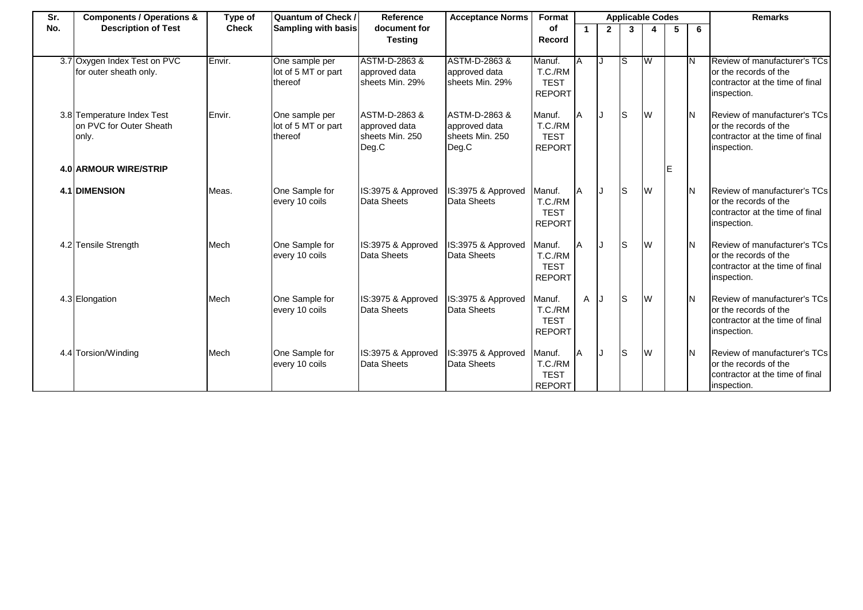| Sr. | <b>Components / Operations &amp;</b>                           | Type of      | <b>Quantum of Check /</b>                        | Reference                                                  | <b>Acceptance Norms</b>                                    | Format                                            | <b>Applicable Codes</b> |             |              |          |    |     | <b>Remarks</b>                                                                                          |
|-----|----------------------------------------------------------------|--------------|--------------------------------------------------|------------------------------------------------------------|------------------------------------------------------------|---------------------------------------------------|-------------------------|-------------|--------------|----------|----|-----|---------------------------------------------------------------------------------------------------------|
| No. | <b>Description of Test</b>                                     | <b>Check</b> | Sampling with basis                              | document for<br><b>Testing</b>                             |                                                            | of<br>Record                                      | $\mathbf{1}$            | $2^{\circ}$ | $\mathbf{3}$ |          | 5  | 6   |                                                                                                         |
|     | 3.7 Oxygen Index Test on PVC<br>for outer sheath only.         | Envir.       | One sample per<br>lot of 5 MT or part<br>thereof | ASTM-D-2863 &<br>approved data<br>sheets Min. 29%          | ASTM-D-2863 &<br>approved data<br>sheets Min. 29%          | Manuf.<br>T.C./RM<br><b>TEST</b><br><b>REPORT</b> | A                       | IJ          | lS           | <b>W</b> |    | IΝ  | Review of manufacturer's TCs<br>or the records of the<br>contractor at the time of final<br>inspection. |
|     | 3.8 Temperature Index Test<br>on PVC for Outer Sheath<br>only. | Envir.       | One sample per<br>lot of 5 MT or part<br>thereof | ASTM-D-2863 &<br>approved data<br>sheets Min. 250<br>Deg.C | ASTM-D-2863 &<br>approved data<br>sheets Min. 250<br>Deg.C | Manuf.<br>T.C./RM<br><b>TEST</b><br><b>REPORT</b> | A                       |             | ls           | <b>W</b> |    | IN. | Review of manufacturer's TCs<br>or the records of the<br>contractor at the time of final<br>inspection. |
|     | <b>4.0 ARMOUR WIRE/STRIP</b>                                   |              |                                                  |                                                            |                                                            |                                                   |                         |             |              |          | ΙE |     |                                                                                                         |
|     | <b>4.1 DIMENSION</b>                                           | Meas.        | One Sample for<br>every 10 coils                 | IS:3975 & Approved<br>Data Sheets                          | IS:3975 & Approved<br>Data Sheets                          | Manuf.<br>T.C./RM<br><b>TEST</b><br><b>REPORT</b> | A                       |             | lS.          | W        |    | ΙN  | Review of manufacturer's TCs<br>or the records of the<br>contractor at the time of final<br>inspection. |
|     | 4.2 Tensile Strength                                           | Mech         | One Sample for<br>every 10 coils                 | IS:3975 & Approved<br>Data Sheets                          | IS:3975 & Approved<br>Data Sheets                          | Manuf.<br>T.C./RM<br><b>TEST</b><br><b>REPORT</b> | IA.                     | IJ          | ls           | W        |    | IN. | Review of manufacturer's TCs<br>or the records of the<br>contractor at the time of final<br>inspection. |
|     | 4.3 Elongation                                                 | Mech         | One Sample for<br>every 10 coils                 | IS:3975 & Approved<br>Data Sheets                          | IS:3975 & Approved<br>Data Sheets                          | Manuf.<br>T.C./RM<br><b>TEST</b><br><b>REPORT</b> | A J                     |             | ls           | W        |    | ΙN  | Review of manufacturer's TCs<br>or the records of the<br>contractor at the time of final<br>inspection. |
|     | 4.4 Torsion/Winding                                            | Mech         | One Sample for<br>every 10 coils                 | IS:3975 & Approved<br>Data Sheets                          | IS:3975 & Approved<br>Data Sheets                          | Manuf.<br>T.C./RM<br><b>TEST</b><br><b>REPORT</b> | l A                     |             | ls           | <b>W</b> |    | ΙN  | Review of manufacturer's TCs<br>or the records of the<br>contractor at the time of final<br>inspection. |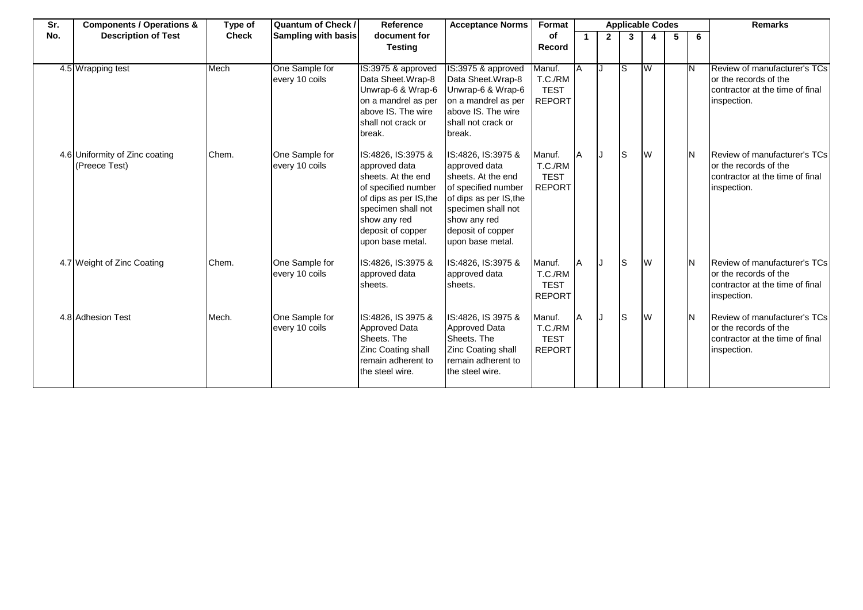| Sr. | <b>Components / Operations &amp;</b>            | Type of      | Quantum of Check /               | Reference                                                                                                                                                                                 | <b>Acceptance Norms</b>                                                                                                                                                                   | Format                                            | <b>Applicable Codes</b> |                |              |   |   |     | <b>Remarks</b>                                                                                          |
|-----|-------------------------------------------------|--------------|----------------------------------|-------------------------------------------------------------------------------------------------------------------------------------------------------------------------------------------|-------------------------------------------------------------------------------------------------------------------------------------------------------------------------------------------|---------------------------------------------------|-------------------------|----------------|--------------|---|---|-----|---------------------------------------------------------------------------------------------------------|
| No. | <b>Description of Test</b>                      | <b>Check</b> | <b>Sampling with basis</b>       | document for                                                                                                                                                                              |                                                                                                                                                                                           | of                                                |                         | $\overline{2}$ | $\mathbf{3}$ |   | 5 | 6   |                                                                                                         |
|     |                                                 |              |                                  | <b>Testing</b>                                                                                                                                                                            |                                                                                                                                                                                           | <b>Record</b>                                     |                         |                |              |   |   |     |                                                                                                         |
|     | 4.5 Wrapping test                               | Mech         | One Sample for<br>every 10 coils | IS:3975 & approved<br>Data Sheet.Wrap-8<br>Unwrap-6 & Wrap-6<br>on a mandrel as per<br>above IS. The wire<br>shall not crack or<br>break.                                                 | IS:3975 & approved<br>Data Sheet. Wrap-8<br>Unwrap-6 & Wrap-6<br>on a mandrel as per<br>above IS. The wire<br>shall not crack or<br>break.                                                | Manuf.<br>T.C./RM<br><b>TEST</b><br><b>REPORT</b> | ΙA                      |                | lS.          | W |   |     | Review of manufacturer's TCs<br>or the records of the<br>contractor at the time of final<br>inspection. |
|     | 4.6 Uniformity of Zinc coating<br>(Preece Test) | Chem.        | One Sample for<br>every 10 coils | IS:4826, IS:3975 &<br>approved data<br>sheets. At the end<br>of specified number<br>of dips as per IS, the<br>specimen shall not<br>show any red<br>deposit of copper<br>upon base metal. | IS:4826, IS:3975 &<br>approved data<br>sheets. At the end<br>of specified number<br>of dips as per IS, the<br>specimen shall not<br>show any red<br>deposit of copper<br>upon base metal. | Manuf.<br>T.C./RM<br><b>TEST</b><br><b>REPORT</b> | A                       |                | ls           | W |   | IN. | Review of manufacturer's TCs<br>or the records of the<br>contractor at the time of final<br>inspection. |
|     | 4.7 Weight of Zinc Coating                      | Chem.        | One Sample for<br>every 10 coils | IS:4826, IS:3975 &<br>approved data<br>sheets.                                                                                                                                            | IS:4826, IS:3975 &<br>approved data<br>sheets.                                                                                                                                            | Manuf.<br>T.C./RM<br><b>TEST</b><br><b>REPORT</b> | A                       |                | ls           | W |   | IN. | Review of manufacturer's TCs<br>or the records of the<br>contractor at the time of final<br>inspection. |
|     | 4.8 Adhesion Test                               | Mech.        | One Sample for<br>every 10 coils | IS:4826, IS 3975 &<br><b>Approved Data</b><br>Sheets. The<br>Zinc Coating shall<br>remain adherent to<br>the steel wire.                                                                  | IS:4826, IS 3975 &<br>Approved Data<br>Sheets. The<br>Zinc Coating shall<br>remain adherent to<br>the steel wire.                                                                         | Manuf.<br>T.C./RM<br><b>TEST</b><br><b>REPORT</b> |                         |                | ls           | W |   |     | Review of manufacturer's TCs<br>or the records of the<br>contractor at the time of final<br>inspection. |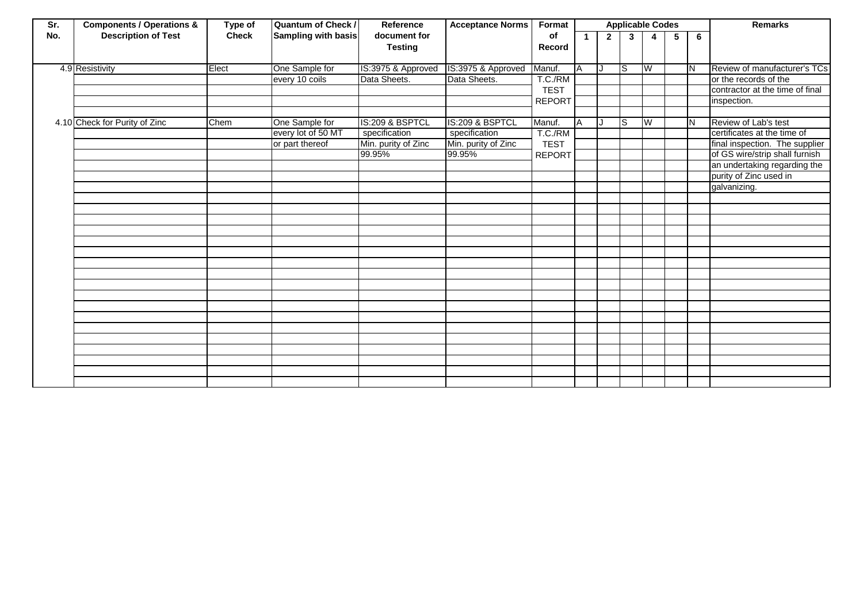| Sr. | <b>Components / Operations &amp;</b> | Type of      | <b>Quantum of Check /</b> | Reference           | <b>Acceptance Norms</b> | Format        | <b>Applicable Codes</b> |             |                 |                         |   |    | <b>Remarks</b>                  |
|-----|--------------------------------------|--------------|---------------------------|---------------------|-------------------------|---------------|-------------------------|-------------|-----------------|-------------------------|---|----|---------------------------------|
| No. | <b>Description of Test</b>           | <b>Check</b> | Sampling with basis       | document for        |                         | of            |                         | $2^{\circ}$ | $3\overline{3}$ | 4                       | 5 | 6  |                                 |
|     |                                      |              |                           | <b>Testing</b>      |                         | Record        |                         |             |                 |                         |   |    |                                 |
|     | 4.9 Resistivity                      | Elect        | One Sample for            | IS:3975 & Approved  | IS:3975 & Approved      | Manuf.        | A                       | IJ          | lS              | - M                     |   | ΙN | Review of manufacturer's TCs    |
|     |                                      |              | every 10 coils            | Data Sheets.        | Data Sheets.            | T.C./RM       |                         |             |                 |                         |   |    | or the records of the           |
|     |                                      |              |                           |                     |                         | <b>TEST</b>   |                         |             |                 |                         |   |    | contractor at the time of final |
|     |                                      |              |                           |                     |                         | <b>REPORT</b> |                         |             |                 |                         |   |    | inspection.                     |
|     |                                      |              |                           |                     |                         |               |                         |             |                 |                         |   |    |                                 |
|     | 4.10 Check for Purity of Zinc        | Chem         | One Sample for            | IS:209 & BSPTCL     | IS:209 & BSPTCL         | Manuf.        | A                       | IJ          | ls              | $\overline{\mathsf{W}}$ |   | İΝ | Review of Lab's test            |
|     |                                      |              | every lot of 50 MT        | specification       | specification           | T.C./RM       |                         |             |                 |                         |   |    | certificates at the time of     |
|     |                                      |              | or part thereof           | Min. purity of Zinc | Min. purity of Zinc     | <b>TEST</b>   |                         |             |                 |                         |   |    | final inspection. The supplier  |
|     |                                      |              |                           | 99.95%              | 99.95%                  | <b>REPORT</b> |                         |             |                 |                         |   |    | of GS wire/strip shall furnish  |
|     |                                      |              |                           |                     |                         |               |                         |             |                 |                         |   |    | an undertaking regarding the    |
|     |                                      |              |                           |                     |                         |               |                         |             |                 |                         |   |    | purity of Zinc used in          |
|     |                                      |              |                           |                     |                         |               |                         |             |                 |                         |   |    | galvanizing.                    |
|     |                                      |              |                           |                     |                         |               |                         |             |                 |                         |   |    |                                 |
|     |                                      |              |                           |                     |                         |               |                         |             |                 |                         |   |    |                                 |
|     |                                      |              |                           |                     |                         |               |                         |             |                 |                         |   |    |                                 |
|     |                                      |              |                           |                     |                         |               |                         |             |                 |                         |   |    |                                 |
|     |                                      |              |                           |                     |                         |               |                         |             |                 |                         |   |    |                                 |
|     |                                      |              |                           |                     |                         |               |                         |             |                 |                         |   |    |                                 |
|     |                                      |              |                           |                     |                         |               |                         |             |                 |                         |   |    |                                 |
|     |                                      |              |                           |                     |                         |               |                         |             |                 |                         |   |    |                                 |
|     |                                      |              |                           |                     |                         |               |                         |             |                 |                         |   |    |                                 |
|     |                                      |              |                           |                     |                         |               |                         |             |                 |                         |   |    |                                 |
|     |                                      |              |                           |                     |                         |               |                         |             |                 |                         |   |    |                                 |
|     |                                      |              |                           |                     |                         |               |                         |             |                 |                         |   |    |                                 |
|     |                                      |              |                           |                     |                         |               |                         |             |                 |                         |   |    |                                 |
|     |                                      |              |                           |                     |                         |               |                         |             |                 |                         |   |    |                                 |
|     |                                      |              |                           |                     |                         |               |                         |             |                 |                         |   |    |                                 |
|     |                                      |              |                           |                     |                         |               |                         |             |                 |                         |   |    |                                 |
|     |                                      |              |                           |                     |                         |               |                         |             |                 |                         |   |    |                                 |
|     |                                      |              |                           |                     |                         |               |                         |             |                 |                         |   |    |                                 |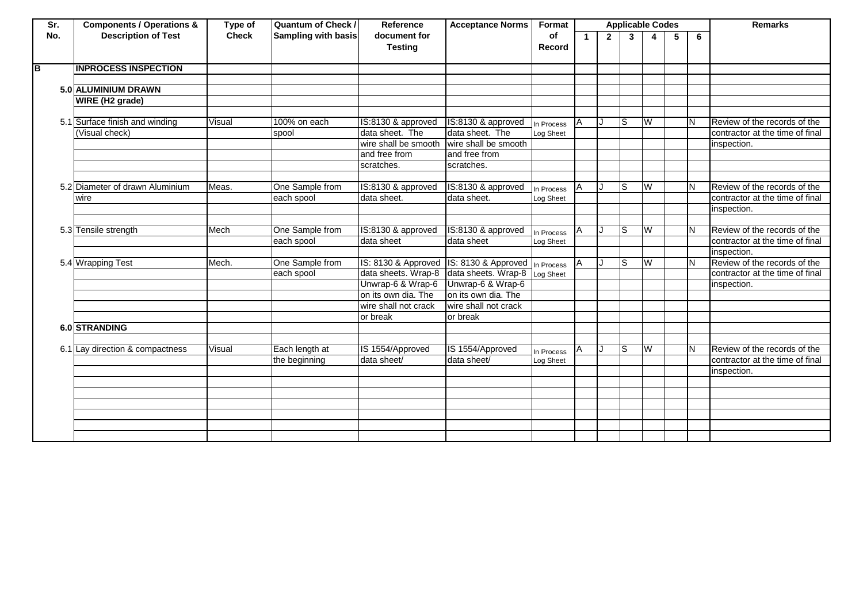| Sr. | <b>Components / Operations &amp;</b> | Type of      | <b>Quantum of Check /</b>  | Reference                      | <b>Acceptance Norms</b> | Format       | <b>Applicable Codes</b> |                |              |                         | <b>Remarks</b> |   |                                 |
|-----|--------------------------------------|--------------|----------------------------|--------------------------------|-------------------------|--------------|-------------------------|----------------|--------------|-------------------------|----------------|---|---------------------------------|
| No. | <b>Description of Test</b>           | <b>Check</b> | <b>Sampling with basis</b> | document for<br><b>Testing</b> |                         | of<br>Record | 1.                      | $\overline{2}$ | $\mathbf{3}$ | 4                       | 5              | 6 |                                 |
| В   | <b>INPROCESS INSPECTION</b>          |              |                            |                                |                         |              |                         |                |              |                         |                |   |                                 |
|     |                                      |              |                            |                                |                         |              |                         |                |              |                         |                |   |                                 |
|     | 5.0 ALUMINIUM DRAWN                  |              |                            |                                |                         |              |                         |                |              |                         |                |   |                                 |
|     | WIRE (H2 grade)                      |              |                            |                                |                         |              |                         |                |              |                         |                |   |                                 |
|     |                                      |              |                            |                                |                         |              |                         |                |              |                         |                |   |                                 |
|     | 5.1 Surface finish and winding       | Visual       | 100% on each               | IS:8130 & approved             | IS:8130 & approved      | In Process   | ΙA                      |                | Is           | W                       |                |   | Review of the records of the    |
|     | (Visual check)                       |              | spool                      | data sheet. The                | data sheet. The         | Log Sheet    |                         |                |              |                         |                |   | contractor at the time of final |
|     |                                      |              |                            | wire shall be smooth           | wire shall be smooth    |              |                         |                |              |                         |                |   | inspection.                     |
|     |                                      |              |                            | and free from                  | and free from           |              |                         |                |              |                         |                |   |                                 |
|     |                                      |              |                            | scratches.                     | scratches.              |              |                         |                |              |                         |                |   |                                 |
|     |                                      |              |                            |                                |                         |              |                         |                |              |                         |                |   |                                 |
|     | 5.2 Diameter of drawn Aluminium      | Meas.        | One Sample from            | IS:8130 & approved             | IS:8130 & approved      | In Process   | ΙA                      |                | ls           | W                       |                |   | Review of the records of the    |
|     | wire                                 |              | each spool                 | data sheet.                    | data sheet.             | Log Sheet    |                         |                |              |                         |                |   | contractor at the time of final |
|     |                                      |              |                            |                                |                         |              |                         |                |              |                         |                |   | inspection.                     |
|     |                                      |              |                            |                                |                         |              |                         |                |              |                         |                |   |                                 |
|     | 5.3 Tensile strength                 | Mech         | One Sample from            | IS:8130 & approved             | IS:8130 & approved      | In Process   |                         |                | ls           | $\overline{\mathsf{w}}$ |                | N | Review of the records of the    |
|     |                                      |              | each spool                 | data sheet                     | data sheet              | Log Sheet    |                         |                |              |                         |                |   | contractor at the time of final |
|     |                                      |              |                            |                                |                         |              |                         |                |              |                         |                |   | inspection.                     |
|     | 5.4 Wrapping Test                    | Mech.        | One Sample from            | IS: 8130 & Approved            | IS: 8130 & Approved     | In Process   | ΙA                      |                | ls           | W                       |                | Ν | Review of the records of the    |
|     |                                      |              | each spool                 | data sheets. Wrap-8            | data sheets. Wrap-8     | Log Sheet    |                         |                |              |                         |                |   | contractor at the time of final |
|     |                                      |              |                            | Unwrap-6 & Wrap-6              | Unwrap-6 & Wrap-6       |              |                         |                |              |                         |                |   | inspection.                     |
|     |                                      |              |                            | on its own dia. The            | on its own dia. The     |              |                         |                |              |                         |                |   |                                 |
|     |                                      |              |                            | wire shall not crack           | wire shall not crack    |              |                         |                |              |                         |                |   |                                 |
|     |                                      |              |                            | or break                       | or break                |              |                         |                |              |                         |                |   |                                 |
|     | 6.0 STRANDING                        |              |                            |                                |                         |              |                         |                |              |                         |                |   |                                 |
|     |                                      |              |                            |                                |                         |              |                         |                |              |                         |                |   |                                 |
|     | 6.1 Lay direction & compactness      | Visual       | Each length at             | IS 1554/Approved               | IS 1554/Approved        | In Process   |                         |                | ls           | W                       |                |   | Review of the records of the    |
|     |                                      |              | the beginning              | data sheet/                    | data sheet/             | Log Sheet    |                         |                |              |                         |                |   | contractor at the time of final |
|     |                                      |              |                            |                                |                         |              |                         |                |              |                         |                |   | inspection.                     |
|     |                                      |              |                            |                                |                         |              |                         |                |              |                         |                |   |                                 |
|     |                                      |              |                            |                                |                         |              |                         |                |              |                         |                |   |                                 |
|     |                                      |              |                            |                                |                         |              |                         |                |              |                         |                |   |                                 |
|     |                                      |              |                            |                                |                         |              |                         |                |              |                         |                |   |                                 |
|     |                                      |              |                            |                                |                         |              |                         |                |              |                         |                |   |                                 |
|     |                                      |              |                            |                                |                         |              |                         |                |              |                         |                |   |                                 |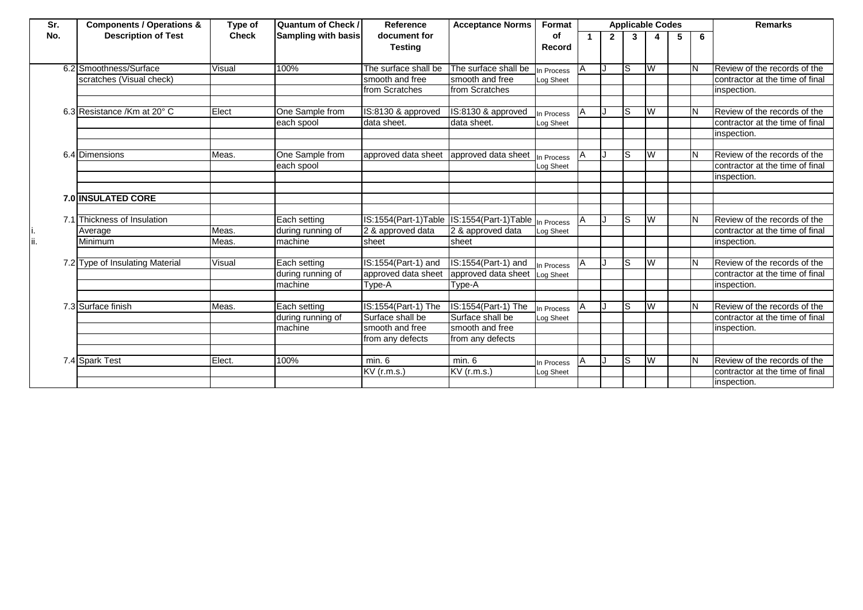| Sr. | <b>Components / Operations &amp;</b> | Type of      | <b>Quantum of Check /</b>  | Reference                                            | <b>Acceptance Norms</b> | Format     |    |              | <b>Applicable Codes</b> |   |   |   | <b>Remarks</b>                  |
|-----|--------------------------------------|--------------|----------------------------|------------------------------------------------------|-------------------------|------------|----|--------------|-------------------------|---|---|---|---------------------------------|
| No. | <b>Description of Test</b>           | <b>Check</b> | <b>Sampling with basis</b> | document for                                         |                         | οf         |    | $\mathbf{2}$ | $\overline{3}$          | 4 | 5 | 6 |                                 |
|     |                                      |              |                            | <b>Testing</b>                                       |                         | Record     |    |              |                         |   |   |   |                                 |
|     |                                      |              |                            |                                                      |                         |            |    |              |                         |   |   |   |                                 |
|     | 6.2 Smoothness/Surface               | Visual       | 100%                       | The surface shall be                                 | The surface shall be    | In Process | ΙA | IJ           | lS                      | W |   |   | Review of the records of the    |
|     | scratches (Visual check)             |              |                            | smooth and free                                      | smooth and free         | Log Sheet  |    |              |                         |   |   |   | contractor at the time of final |
|     |                                      |              |                            | from Scratches                                       | from Scratches          |            |    |              |                         |   |   |   | inspection.                     |
|     |                                      |              |                            |                                                      |                         |            |    |              |                         |   |   |   |                                 |
|     | 6.3 Resistance /Km at 20° C          | Elect        | One Sample from            | IS:8130 & approved                                   | IS:8130 & approved      | In Process |    |              | lS                      | W |   |   | Review of the records of the    |
|     |                                      |              | each spool                 | data sheet.                                          | data sheet.             | Log Sheet  |    |              |                         |   |   |   | contractor at the time of final |
|     |                                      |              |                            |                                                      |                         |            |    |              |                         |   |   |   | inspection.                     |
|     |                                      |              |                            |                                                      |                         |            |    |              |                         |   |   |   |                                 |
|     | 6.4 Dimensions                       | Meas.        | One Sample from            | approved data sheet                                  | approved data sheet     | In Process |    |              | ls                      | S |   |   | Review of the records of the    |
|     |                                      |              | each spool                 |                                                      |                         | Log Sheet  |    |              |                         |   |   |   | contractor at the time of final |
|     |                                      |              |                            |                                                      |                         |            |    |              |                         |   |   |   | inspection.                     |
|     |                                      |              |                            |                                                      |                         |            |    |              |                         |   |   |   |                                 |
|     | <b>7.0 INSULATED CORE</b>            |              |                            |                                                      |                         |            |    |              |                         |   |   |   |                                 |
|     |                                      |              |                            |                                                      |                         |            |    |              |                         |   |   |   |                                 |
|     | 7.1 Thickness of Insulation          |              | Each setting               | IS:1554(Part-1)Table IS:1554(Part-1)Table In Process |                         |            |    |              | ls                      | W |   |   | Review of the records of the    |
|     | Average                              | Meas.        | during running of          | 2 & approved data                                    | 2 & approved data       | Log Sheet  |    |              |                         |   |   |   | contractor at the time of final |
| İi. | Minimum                              | Meas.        | machine                    | sheet                                                | sheet                   |            |    |              |                         |   |   |   | inspection.                     |
|     |                                      |              |                            |                                                      |                         |            |    |              |                         |   |   |   |                                 |
|     | 7.2 Type of Insulating Material      | Visual       | Each setting               | IS:1554(Part-1) and                                  | IS:1554(Part-1) and     | In Process |    |              | ls                      | W |   |   | Review of the records of the    |
|     |                                      |              | during running of          | approved data sheet                                  | approved data sheet     | Log Sheet  |    |              |                         |   |   |   | contractor at the time of final |
|     |                                      |              | machine                    | Type-A                                               | Type-A                  |            |    |              |                         |   |   |   | inspection.                     |
|     |                                      |              |                            |                                                      |                         |            |    |              |                         |   |   |   |                                 |
|     | 7.3 Surface finish                   | Meas.        | Each setting               | IS:1554(Part-1) The                                  | IS:1554(Part-1) The     | n Process  |    |              | S                       | W |   |   | Review of the records of the    |
|     |                                      |              | during running of          | Surface shall be                                     | Surface shall be        | Log Sheet  |    |              |                         |   |   |   | contractor at the time of final |
|     |                                      |              | machine                    | smooth and free                                      | smooth and free         |            |    |              |                         |   |   |   | inspection.                     |
|     |                                      |              |                            | from any defects                                     | from any defects        |            |    |              |                         |   |   |   |                                 |
|     |                                      |              |                            |                                                      |                         |            |    |              |                         |   |   |   |                                 |
|     | 7.4 Spark Test                       | Elect.       | 100%                       | min. 6                                               | min. 6                  | In Process | IΑ |              | ls                      | W |   |   | Review of the records of the    |
|     |                                      |              |                            | KV (r.m.s.)                                          | $KV$ (r.m.s.)           | Log Sheet  |    |              |                         |   |   |   | contractor at the time of final |
|     |                                      |              |                            |                                                      |                         |            |    |              |                         |   |   |   | inspection.                     |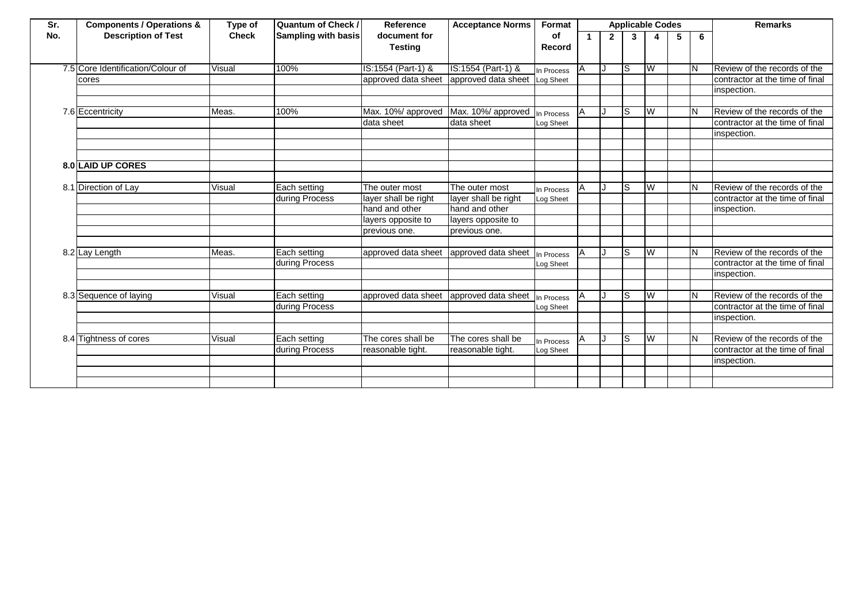| Sr. | <b>Components / Operations &amp;</b> | Type of      | <b>Quantum of Check /</b>  | Reference            | <b>Acceptance Norms</b> | Format     |    |                | <b>Applicable Codes</b> |   |   |    | <b>Remarks</b>                  |
|-----|--------------------------------------|--------------|----------------------------|----------------------|-------------------------|------------|----|----------------|-------------------------|---|---|----|---------------------------------|
| No. | <b>Description of Test</b>           | <b>Check</b> | <b>Sampling with basis</b> | document for         |                         | οf         |    | $\overline{2}$ | 3                       | 4 | 5 | 6  |                                 |
|     |                                      |              |                            | <b>Testing</b>       |                         | Record     |    |                |                         |   |   |    |                                 |
|     |                                      |              |                            |                      |                         |            |    |                |                         |   |   |    |                                 |
|     | 7.5 Core Identification/Colour of    | Visual       | 100%                       | IS:1554 (Part-1) &   | IS:1554 (Part-1) &      | In Process | IA | IJ             | ls                      | W |   |    | Review of the records of the    |
|     | cores                                |              |                            | approved data sheet  | approved data sheet     | Log Sheet  |    |                |                         |   |   |    | contractor at the time of final |
|     |                                      |              |                            |                      |                         |            |    |                |                         |   |   |    | inspection.                     |
|     |                                      |              |                            |                      |                         |            |    |                |                         |   |   |    |                                 |
|     | 7.6 Eccentricity                     | Meas.        | 100%                       | Max. 10%/ approved   | Max. 10%/ approved      | n Process  | ΙA |                | S                       | W |   |    | Review of the records of the    |
|     |                                      |              |                            | data sheet           | data sheet              | Log Sheet  |    |                |                         |   |   |    | contractor at the time of final |
|     |                                      |              |                            |                      |                         |            |    |                |                         |   |   |    | inspection.                     |
|     |                                      |              |                            |                      |                         |            |    |                |                         |   |   |    |                                 |
|     |                                      |              |                            |                      |                         |            |    |                |                         |   |   |    |                                 |
|     | 8.0 LAID UP CORES                    |              |                            |                      |                         |            |    |                |                         |   |   |    |                                 |
|     |                                      |              |                            |                      |                         |            |    |                |                         |   |   |    |                                 |
|     | 8.1 Direction of Lay                 | Visual       | Each setting               | The outer most       | The outer most          | In Process | ΙA |                | S                       | W |   |    | Review of the records of the    |
|     |                                      |              | during Process             | layer shall be right | layer shall be right    | Log Sheet  |    |                |                         |   |   |    | contractor at the time of final |
|     |                                      |              |                            | hand and other       | hand and other          |            |    |                |                         |   |   |    | inspection.                     |
|     |                                      |              |                            | layers opposite to   | layers opposite to      |            |    |                |                         |   |   |    |                                 |
|     |                                      |              |                            | previous one.        | previous one.           |            |    |                |                         |   |   |    |                                 |
|     |                                      |              |                            |                      |                         |            |    |                |                         |   |   |    |                                 |
|     | 8.2 Lay Length                       | Meas.        | Each setting               | approved data sheet  | approved data sheet     | n Process  | IΑ |                | S                       | W |   |    | Review of the records of the    |
|     |                                      |              | during Process             |                      |                         | Log Sheet  |    |                |                         |   |   |    | contractor at the time of final |
|     |                                      |              |                            |                      |                         |            |    |                |                         |   |   |    | inspection.                     |
|     |                                      |              |                            |                      |                         |            |    |                |                         |   |   |    |                                 |
|     | 8.3 Sequence of laying               | Visual       | Each setting               | approved data sheet  | approved data sheet     | n Process  |    |                | S                       | W |   |    | Review of the records of the    |
|     |                                      |              | during Process             |                      |                         | Log Sheet  |    |                |                         |   |   |    | contractor at the time of final |
|     |                                      |              |                            |                      |                         |            |    |                |                         |   |   |    | inspection.                     |
|     |                                      |              |                            |                      |                         |            |    |                |                         |   |   |    |                                 |
|     | 8.4 Tightness of cores               | Visual       | Each setting               | The cores shall be   | The cores shall be      | n Process  |    |                | S                       | W |   | lΝ | Review of the records of the    |
|     |                                      |              | during Process             | reasonable tight.    | reasonable tight.       | Log Sheet  |    |                |                         |   |   |    | contractor at the time of final |
|     |                                      |              |                            |                      |                         |            |    |                |                         |   |   |    | inspection.                     |
|     |                                      |              |                            |                      |                         |            |    |                |                         |   |   |    |                                 |
|     |                                      |              |                            |                      |                         |            |    |                |                         |   |   |    |                                 |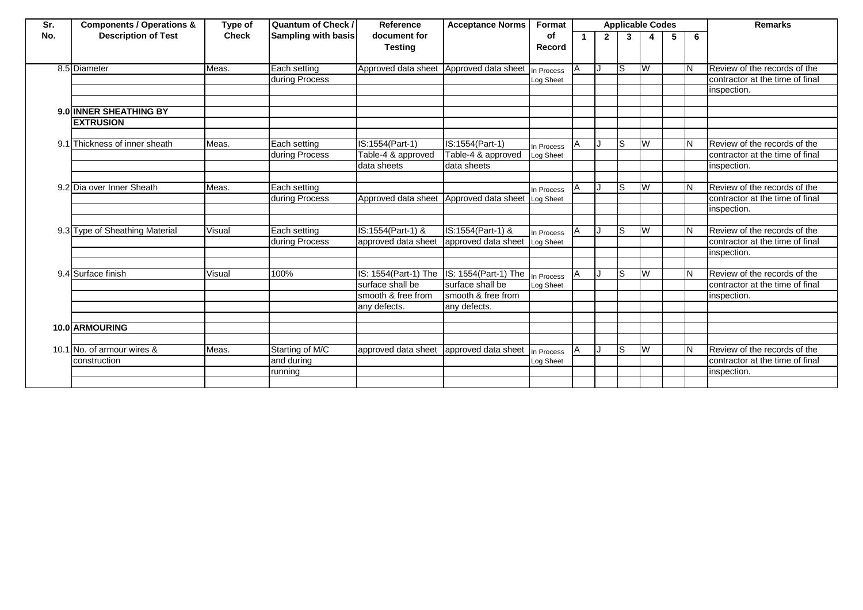| Sr. | <b>Components / Operations &amp;</b> | Type of      | <b>Quantum of Check /</b>  | Reference            | <b>Acceptance Norms</b> | Format     |   |              |    | <b>Applicable Codes</b> |   |     | <b>Remarks</b>                  |
|-----|--------------------------------------|--------------|----------------------------|----------------------|-------------------------|------------|---|--------------|----|-------------------------|---|-----|---------------------------------|
| No. | <b>Description of Test</b>           | <b>Check</b> | <b>Sampling with basis</b> | document for         |                         | οf         |   | $\mathbf{2}$ | 3  |                         | 5 | 6   |                                 |
|     |                                      |              |                            | <b>Testing</b>       |                         | Record     |   |              |    |                         |   |     |                                 |
|     |                                      |              |                            |                      |                         |            |   |              |    |                         |   |     |                                 |
|     | 8.5 Diameter                         | Meas.        | Each setting               | Approved data sheet  | Approved data sheet     | In Process | A |              | Is | IW                      |   | IN. | Review of the records of the    |
|     |                                      |              | during Process             |                      |                         | Log Sheet  |   |              |    |                         |   |     | contractor at the time of final |
|     |                                      |              |                            |                      |                         |            |   |              |    |                         |   |     | inspection.                     |
|     |                                      |              |                            |                      |                         |            |   |              |    |                         |   |     |                                 |
|     | 9.0 INNER SHEATHING BY               |              |                            |                      |                         |            |   |              |    |                         |   |     |                                 |
|     | <b>EXTRUSION</b>                     |              |                            |                      |                         |            |   |              |    |                         |   |     |                                 |
|     |                                      |              |                            |                      |                         |            |   |              |    |                         |   |     |                                 |
|     | 9.1 Thickness of inner sheath        | Meas.        | Each setting               | IS:1554(Part-1)      | IS:1554(Part-1)         | In Process |   |              | ls | W                       |   | IN. | Review of the records of the    |
|     |                                      |              | during Process             | Table-4 & approved   | Table-4 & approved      | Log Sheet  |   |              |    |                         |   |     | contractor at the time of final |
|     |                                      |              |                            | data sheets          | data sheets             |            |   |              |    |                         |   |     | inspection.                     |
|     |                                      |              |                            |                      |                         |            |   |              |    |                         |   |     |                                 |
|     | 9.2 Dia over Inner Sheath            | Meas.        | Each setting               |                      |                         | In Process |   |              | ls | Iw                      |   | IN. | Review of the records of the    |
|     |                                      |              | during Process             | Approved data sheet  | Approved data sheet     | Log Sheet  |   |              |    |                         |   |     | contractor at the time of final |
|     |                                      |              |                            |                      |                         |            |   |              |    |                         |   |     | inspection.                     |
|     |                                      |              |                            |                      |                         |            |   |              |    |                         |   |     |                                 |
|     | 9.3 Type of Sheathing Material       | Visual       | Each setting               | IS:1554(Part-1) &    | IS:1554(Part-1) &       | In Process |   |              | ls | <b>IW</b>               |   | IN. | Review of the records of the    |
|     |                                      |              | during Process             | approved data sheet  | approved data sheet     | Log Sheet  |   |              |    |                         |   |     | contractor at the time of final |
|     |                                      |              |                            |                      |                         |            |   |              |    |                         |   |     | inspection.                     |
|     |                                      |              |                            |                      |                         |            |   |              |    |                         |   |     |                                 |
|     | 9.4 Surface finish                   | Visual       | 100%                       | IS: 1554(Part-1) The | IS: 1554(Part-1) The    | In Process |   |              | ls | W                       |   | IN. | Review of the records of the    |
|     |                                      |              |                            | surface shall be     | surface shall be        | Log Sheet  |   |              |    |                         |   |     | contractor at the time of final |
|     |                                      |              |                            | smooth & free from   | smooth & free from      |            |   |              |    |                         |   |     | inspection.                     |
|     |                                      |              |                            | any defects.         | any defects.            |            |   |              |    |                         |   |     |                                 |
|     |                                      |              |                            |                      |                         |            |   |              |    |                         |   |     |                                 |
|     | 10.0 ARMOURING                       |              |                            |                      |                         |            |   |              |    |                         |   |     |                                 |
|     |                                      |              |                            |                      |                         |            |   |              |    |                         |   |     |                                 |
|     | 10.1 No. of armour wires &           | Meas.        | Starting of M/C            | approved data sheet  | approved data sheet     | In Process | A |              | ls | Iw                      |   | lΝ  | Review of the records of the    |
|     | construction                         |              | and during                 |                      |                         | Log Sheet  |   |              |    |                         |   |     | contractor at the time of final |
|     |                                      |              | running                    |                      |                         |            |   |              |    |                         |   |     | inspection.                     |
|     |                                      |              |                            |                      |                         |            |   |              |    |                         |   |     |                                 |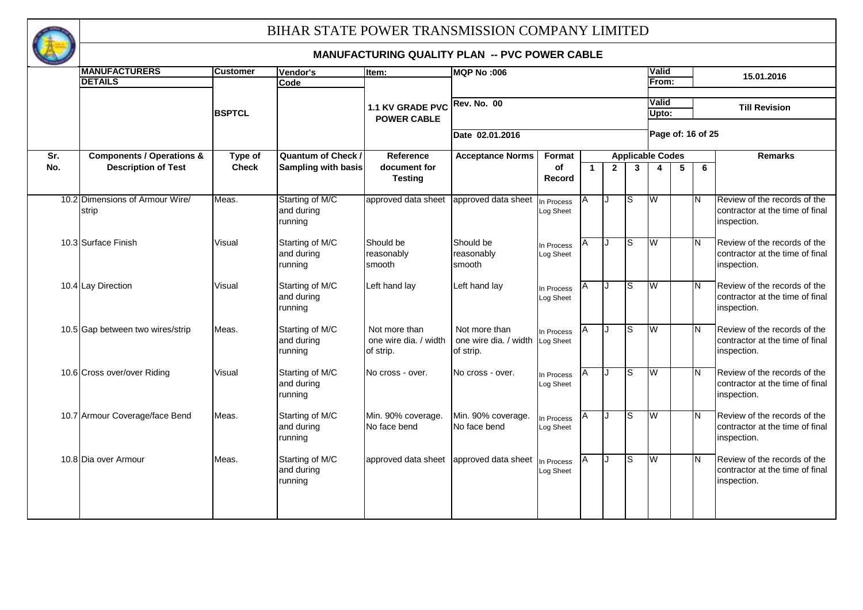

|     | <b>MANUFACTURERS</b>                 | <b>Customer</b> | Vendor's                   | Item:                 | <b>MQP No:006</b>               |                         |             |              |                         | <b>Valid</b>            |   |                         |                                 |
|-----|--------------------------------------|-----------------|----------------------------|-----------------------|---------------------------------|-------------------------|-------------|--------------|-------------------------|-------------------------|---|-------------------------|---------------------------------|
|     | <b>DETAILS</b>                       |                 | Code                       |                       |                                 |                         |             |              |                         | From:                   |   |                         | 15.01.2016                      |
|     |                                      |                 |                            |                       |                                 |                         |             |              |                         |                         |   |                         |                                 |
|     |                                      |                 |                            | 1.1 KV GRADE PVC      | <b>Rev. No. 00</b>              |                         |             |              |                         | Valid                   |   |                         | <b>Till Revision</b>            |
|     |                                      | <b>BSPTCL</b>   |                            | <b>POWER CABLE</b>    |                                 |                         |             |              |                         | Upto:                   |   |                         |                                 |
|     |                                      |                 |                            |                       |                                 |                         |             |              |                         |                         |   |                         |                                 |
|     |                                      |                 |                            |                       | Date 02.01.2016                 |                         |             |              |                         |                         |   | Page of: 16 of 25       |                                 |
| Sr. | <b>Components / Operations &amp;</b> | Type of         | <b>Quantum of Check /</b>  | Reference             | <b>Acceptance Norms</b>         | Format                  |             |              | <b>Applicable Codes</b> |                         |   |                         | <b>Remarks</b>                  |
| No. | <b>Description of Test</b>           | <b>Check</b>    | <b>Sampling with basis</b> | document for          |                                 | of                      | $\mathbf 1$ | $\mathbf{2}$ | $\mathbf{3}$            | $\overline{\mathbf{4}}$ | 5 | 6                       |                                 |
|     |                                      |                 |                            | <b>Testing</b>        |                                 | Record                  |             |              |                         |                         |   |                         |                                 |
|     |                                      |                 |                            |                       |                                 |                         |             |              |                         |                         |   |                         |                                 |
|     | 10.2 Dimensions of Armour Wire/      | Meas.           | Starting of M/C            | approved data sheet   | approved data sheet             | In Process              | A           | ۱.           | S                       | W                       |   | IN.                     | Review of the records of the    |
|     | strip                                |                 | and during                 |                       |                                 | Log Sheet               |             |              |                         |                         |   |                         | contractor at the time of final |
|     |                                      |                 | running                    |                       |                                 |                         |             |              |                         |                         |   |                         | inspection.                     |
|     | 10.3 Surface Finish                  | Visual          | Starting of M/C            | Should be             | Should be                       |                         | A           | Π            | ls                      | W                       |   | ĪΝ                      | Review of the records of the    |
|     |                                      |                 | and during                 | reasonably            | reasonably                      | In Process<br>Log Sheet |             |              |                         |                         |   |                         | contractor at the time of final |
|     |                                      |                 | running                    | smooth                | smooth                          |                         |             |              |                         |                         |   |                         | inspection.                     |
|     |                                      |                 |                            |                       |                                 |                         |             |              |                         |                         |   |                         |                                 |
|     | 10.4 Lay Direction                   | Visual          | Starting of M/C            | Left hand lay         | Left hand lay                   | In Process              | A           | $\cdot$      | lS                      | W                       |   | <b>IN</b>               | Review of the records of the    |
|     |                                      |                 | and during                 |                       |                                 | Log Sheet               |             |              |                         |                         |   |                         | contractor at the time of final |
|     |                                      |                 | running                    |                       |                                 |                         |             |              |                         |                         |   |                         | inspection.                     |
|     |                                      |                 |                            |                       |                                 |                         |             |              |                         |                         |   |                         |                                 |
|     | 10.5 Gap between two wires/strip     | Meas.           | Starting of M/C            | Not more than         | Not more than                   | In Process              | A           | ۱.           | S                       | W                       |   | $\overline{\mathsf{N}}$ | Review of the records of the    |
|     |                                      |                 | and during                 | one wire dia. / width | one wire dia. / width Log Sheet |                         |             |              |                         |                         |   |                         | contractor at the time of final |
|     |                                      |                 | running                    | of strip.             | of strip.                       |                         |             |              |                         |                         |   |                         | inspection.                     |
|     | 10.6 Cross over/over Riding          | Visual          | Starting of M/C            | No cross - over.      | No cross - over.                | In Process              | Α           | ۱.           | S                       | W                       |   | <b>IN</b>               | Review of the records of the    |
|     |                                      |                 | and during                 |                       |                                 | Log Sheet               |             |              |                         |                         |   |                         | contractor at the time of final |
|     |                                      |                 | running                    |                       |                                 |                         |             |              |                         |                         |   |                         | inspection.                     |
|     |                                      |                 |                            |                       |                                 |                         |             |              |                         |                         |   |                         |                                 |
|     | 10.7 Armour Coverage/face Bend       | Meas.           | Starting of M/C            | Min. 90% coverage.    | Min. 90% coverage.              | In Process              | IA.         | . I          | S                       | W                       |   | $\overline{\mathsf{N}}$ | Review of the records of the    |
|     |                                      |                 | and during                 | No face bend          | No face bend                    | Log Sheet               |             |              |                         |                         |   |                         | contractor at the time of final |
|     |                                      |                 | running                    |                       |                                 |                         |             |              |                         |                         |   |                         | inspection.                     |
|     | 10.8 Dia over Armour                 | Meas.           | Starting of M/C            | approved data sheet   |                                 |                         | ΙA          | IJ           | S                       | W                       |   | $\overline{\mathsf{N}}$ | Review of the records of the    |
|     |                                      |                 | and during                 |                       | approved data sheet In Process  | Log Sheet               |             |              |                         |                         |   |                         | contractor at the time of final |
|     |                                      |                 | running                    |                       |                                 |                         |             |              |                         |                         |   |                         | inspection.                     |
|     |                                      |                 |                            |                       |                                 |                         |             |              |                         |                         |   |                         |                                 |
|     |                                      |                 |                            |                       |                                 |                         |             |              |                         |                         |   |                         |                                 |
|     |                                      |                 |                            |                       |                                 |                         |             |              |                         |                         |   |                         |                                 |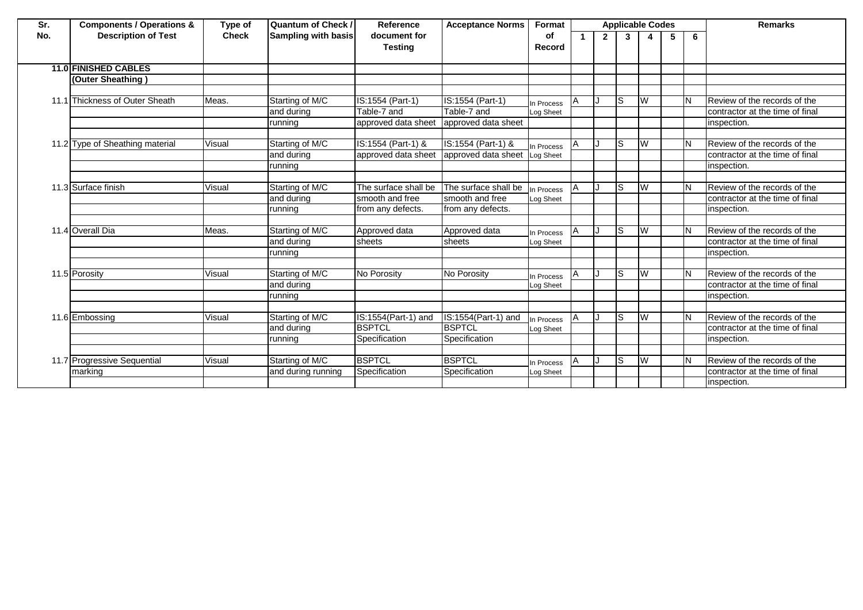| Sr.  | <b>Components / Operations &amp;</b> | Type of      | <b>Quantum of Check /</b>  | Reference                      | <b>Acceptance Norms</b> | Format       | <b>Applicable Codes</b> |             |                |   |   | <b>Remarks</b> |                                 |
|------|--------------------------------------|--------------|----------------------------|--------------------------------|-------------------------|--------------|-------------------------|-------------|----------------|---|---|----------------|---------------------------------|
| No.  | <b>Description of Test</b>           | <b>Check</b> | <b>Sampling with basis</b> | document for<br><b>Testing</b> |                         | οf<br>Record |                         | $2^{\circ}$ | 3 <sup>1</sup> | 4 | 5 | 6              |                                 |
|      |                                      |              |                            |                                |                         |              |                         |             |                |   |   |                |                                 |
|      | <b>11.0 FINISHED CABLES</b>          |              |                            |                                |                         |              |                         |             |                |   |   |                |                                 |
|      | <b>Outer Sheathing)</b>              |              |                            |                                |                         |              |                         |             |                |   |   |                |                                 |
|      |                                      |              |                            |                                |                         |              |                         |             |                |   |   |                |                                 |
| 11.1 | Thickness of Outer Sheath            | Meas.        | Starting of M/C            | IS:1554 (Part-1)               | IS:1554 (Part-1)        | In Process   |                         |             | Is             | W |   | IΝ             | Review of the records of the    |
|      |                                      |              | and during                 | Table-7 and                    | Table-7 and             | Log Sheet    |                         |             |                |   |   |                | contractor at the time of final |
|      |                                      |              | running                    | approved data sheet            | approved data sheet     |              |                         |             |                |   |   |                | inspection.                     |
|      |                                      |              |                            |                                |                         |              |                         |             |                |   |   |                |                                 |
|      | 11.2 Type of Sheathing material      | Visual       | Starting of M/C            | IS:1554 (Part-1) &             | IS:1554 (Part-1) &      | In Process   | ΙA                      |             | ls             | W |   | lΝ             | Review of the records of the    |
|      |                                      |              | and during                 | approved data sheet            | approved data sheet     | Log Sheet    |                         |             |                |   |   |                | contractor at the time of final |
|      |                                      |              | running                    |                                |                         |              |                         |             |                |   |   |                | inspection.                     |
|      |                                      |              |                            |                                |                         |              |                         |             |                |   |   |                |                                 |
|      | 11.3 Surface finish                  | Visual       | Starting of M/C            | The surface shall be           | The surface shall be    | n Process    |                         |             | Is             | W |   | IΝ             | Review of the records of the    |
|      |                                      |              | and during                 | smooth and free                | smooth and free         | Log Sheet    |                         |             |                |   |   |                | contractor at the time of final |
|      |                                      |              | running                    | from any defects.              | from any defects.       |              |                         |             |                |   |   |                | inspection.                     |
|      |                                      |              |                            |                                |                         |              |                         |             |                |   |   |                |                                 |
|      | 11.4 Overall Dia                     | Meas.        | Starting of M/C            | Approved data                  | Approved data           | In Process   | Α                       |             | ls             | W |   | ΙN             | Review of the records of the    |
|      |                                      |              | and during                 | sheets                         | sheets                  | Log Sheet    |                         |             |                |   |   |                | contractor at the time of final |
|      |                                      |              | running                    |                                |                         |              |                         |             |                |   |   |                | inspection.                     |
|      |                                      |              |                            |                                |                         |              |                         |             |                |   |   |                |                                 |
|      | 11.5 Porosity                        | Visual       | Starting of M/C            | No Porosity                    | No Porosity             | In Process   |                         |             | Is             | W |   | IΝ             | Review of the records of the    |
|      |                                      |              | and during                 |                                |                         | Log Sheet    |                         |             |                |   |   |                | contractor at the time of final |
|      |                                      |              | running                    |                                |                         |              |                         |             |                |   |   |                | inspection.                     |
|      |                                      |              |                            |                                |                         |              |                         |             |                |   |   |                |                                 |
|      | 11.6 Embossing                       | Visual       | Starting of M/C            | IS:1554(Part-1) and            | IS:1554(Part-1) and     | In Process   | A                       |             | ls             | W |   | IΝ             | Review of the records of the    |
|      |                                      |              | and during                 | <b>BSPTCL</b>                  | <b>BSPTCL</b>           | Log Sheet    |                         |             |                |   |   |                | contractor at the time of final |
|      |                                      |              | running                    | Specification                  | Specification           |              |                         |             |                |   |   |                | inspection.                     |
|      |                                      |              |                            |                                |                         |              |                         |             |                |   |   |                |                                 |
|      | 11.7 Progressive Sequential          | Visual       | Starting of M/C            | <b>BSPTCL</b>                  | <b>BSPTCL</b>           | In Process   |                         |             | ls             | W |   | IN.            | Review of the records of the    |
|      | marking                              |              | and during running         | Specification                  | Specification           | Log Sheet    |                         |             |                |   |   |                | contractor at the time of final |
|      |                                      |              |                            |                                |                         |              |                         |             |                |   |   |                | inspection.                     |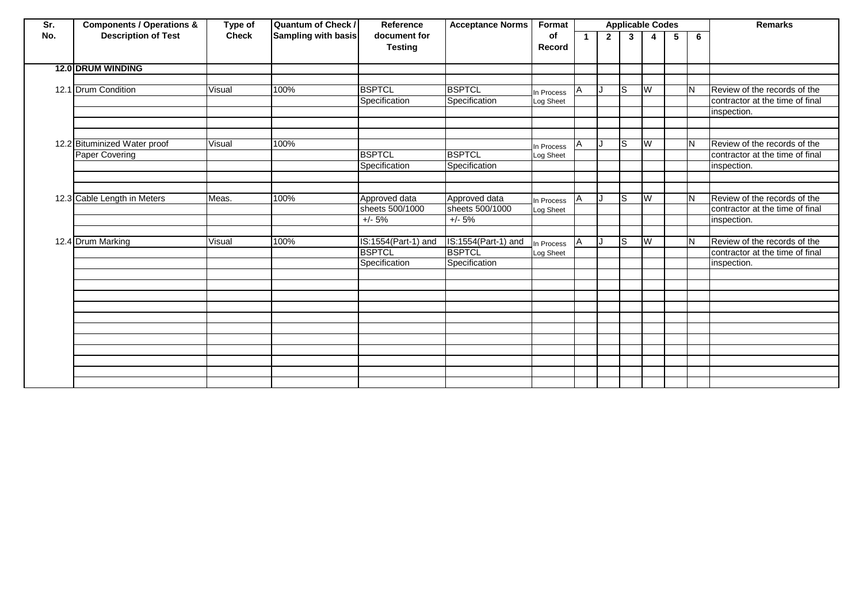| Sr. | <b>Components / Operations &amp;</b> | Type of      | <b>Quantum of Check /</b>  | Reference                      | <b>Acceptance Norms</b> | Format       |    |              |    | <b>Applicable Codes</b> |   |    | <b>Remarks</b>                  |
|-----|--------------------------------------|--------------|----------------------------|--------------------------------|-------------------------|--------------|----|--------------|----|-------------------------|---|----|---------------------------------|
| No. | <b>Description of Test</b>           | <b>Check</b> | <b>Sampling with basis</b> | document for<br><b>Testing</b> |                         | οf<br>Record | -1 | $\mathbf{2}$ | 3  | $\mathbf{A}$            | 5 | 6  |                                 |
|     | <b>12.0 DRUM WINDING</b>             |              |                            |                                |                         |              |    |              |    |                         |   |    |                                 |
|     |                                      |              |                            |                                |                         |              |    |              |    |                         |   |    |                                 |
|     | 12.1 Drum Condition                  | Visual       | 100%                       | <b>BSPTCL</b>                  | <b>BSPTCL</b>           | In Process   | A  |              | S  | W                       |   | ΙN | Review of the records of the    |
|     |                                      |              |                            | Specification                  | Specification           | Log Sheet    |    |              |    |                         |   |    | contractor at the time of final |
|     |                                      |              |                            |                                |                         |              |    |              |    |                         |   |    | inspection.                     |
|     |                                      |              |                            |                                |                         |              |    |              |    |                         |   |    |                                 |
|     |                                      |              |                            |                                |                         |              |    |              |    |                         |   |    |                                 |
|     | 12.2 Bituminized Water proof         | Visual       | 100%                       |                                |                         | In Process   | А  |              | S  | W                       |   | ΙN | Review of the records of the    |
|     | Paper Covering                       |              |                            | <b>BSPTCL</b>                  | <b>BSPTCL</b>           | Log Sheet    |    |              |    |                         |   |    | contractor at the time of final |
|     |                                      |              |                            | Specification                  | Specification           |              |    |              |    |                         |   |    | inspection.                     |
|     |                                      |              |                            |                                |                         |              |    |              |    |                         |   |    |                                 |
|     |                                      |              |                            |                                |                         |              |    |              |    |                         |   |    |                                 |
|     | 12.3 Cable Length in Meters          | Meas.        | 100%                       | Approved data                  | Approved data           | In Process   | A  | IJ           | ls | W                       |   | ΙN | Review of the records of the    |
|     |                                      |              |                            | sheets 500/1000                | sheets 500/1000         | Log Sheet    |    |              |    |                         |   |    | contractor at the time of final |
|     |                                      |              |                            | $+/- 5%$                       | $+/- 5%$                |              |    |              |    |                         |   |    | inspection.                     |
|     |                                      |              |                            |                                |                         |              |    |              |    |                         |   |    |                                 |
|     | 12.4 Drum Marking                    | Visual       | 100%                       | IS:1554(Part-1) and            | $IS:1554(Part-1)$ and   | In Process   |    |              | S  | W                       |   | ΙN | Review of the records of the    |
|     |                                      |              |                            | <b>BSPTCL</b>                  | <b>BSPTCL</b>           | Log Sheet    |    |              |    |                         |   |    | contractor at the time of final |
|     |                                      |              |                            | Specification                  | Specification           |              |    |              |    |                         |   |    | inspection.                     |
|     |                                      |              |                            |                                |                         |              |    |              |    |                         |   |    |                                 |
|     |                                      |              |                            |                                |                         |              |    |              |    |                         |   |    |                                 |
|     |                                      |              |                            |                                |                         |              |    |              |    |                         |   |    |                                 |
|     |                                      |              |                            |                                |                         |              |    |              |    |                         |   |    |                                 |
|     |                                      |              |                            |                                |                         |              |    |              |    |                         |   |    |                                 |
|     |                                      |              |                            |                                |                         |              |    |              |    |                         |   |    |                                 |
|     |                                      |              |                            |                                |                         |              |    |              |    |                         |   |    |                                 |
|     |                                      |              |                            |                                |                         |              |    |              |    |                         |   |    |                                 |
|     |                                      |              |                            |                                |                         |              |    |              |    |                         |   |    |                                 |
|     |                                      |              |                            |                                |                         |              |    |              |    |                         |   |    |                                 |
|     |                                      |              |                            |                                |                         |              |    |              |    |                         |   |    |                                 |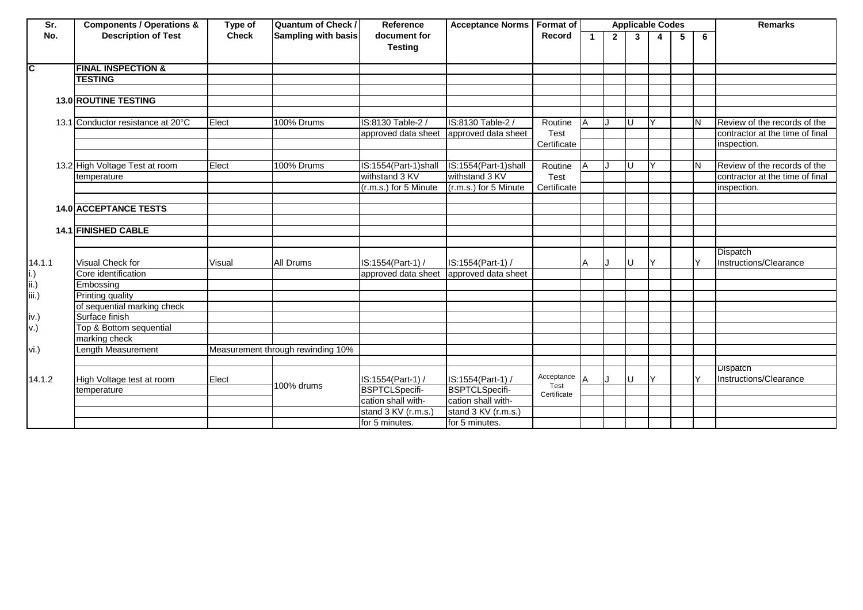| Sr.             | <b>Components / Operations &amp;</b> | Type of      | <b>Quantum of Check /</b>         | Reference             | Acceptance Norms   Format of |             |              |              | <b>Applicable Codes</b> |              |   |   | <b>Remarks</b>                            |
|-----------------|--------------------------------------|--------------|-----------------------------------|-----------------------|------------------------------|-------------|--------------|--------------|-------------------------|--------------|---|---|-------------------------------------------|
| No.             | <b>Description of Test</b>           | <b>Check</b> | Sampling with basis               | document for          |                              | Record      | $\mathbf{1}$ | $\mathbf{2}$ | $\mathbf{3}$            | 4            | 5 | 6 |                                           |
|                 |                                      |              |                                   | <b>Testing</b>        |                              |             |              |              |                         |              |   |   |                                           |
| C               | <b>FINAL INSPECTION &amp;</b>        |              |                                   |                       |                              |             |              |              |                         |              |   |   |                                           |
|                 | <b>TESTING</b>                       |              |                                   |                       |                              |             |              |              |                         |              |   |   |                                           |
|                 |                                      |              |                                   |                       |                              |             |              |              |                         |              |   |   |                                           |
|                 | <b>13.0 ROUTINE TESTING</b>          |              |                                   |                       |                              |             |              |              |                         |              |   |   |                                           |
|                 |                                      |              |                                   |                       |                              |             |              |              |                         |              |   |   |                                           |
|                 | 13.1 Conductor resistance at 20°C    | Elect        | 100% Drums                        | IS:8130 Table-2 /     | IS:8130 Table-2 /            | Routine     | $\Delta$     |              | U                       | $\checkmark$ |   | N | Review of the records of the              |
|                 |                                      |              |                                   | approved data sheet   | approved data sheet          | Test        |              |              |                         |              |   |   | contractor at the time of final           |
|                 |                                      |              |                                   |                       |                              | Certificate |              |              |                         |              |   |   | inspection.                               |
|                 |                                      |              |                                   |                       |                              |             |              |              |                         |              |   |   |                                           |
|                 | 13.2 High Voltage Test at room       | Elect        | 100% Drums                        | IS:1554(Part-1)shall  | IS:1554(Part-1)shall         | Routine     | A            |              | U                       | $\checkmark$ |   | N | Review of the records of the              |
|                 | temperature                          |              |                                   | withstand 3 KV        | withstand 3 KV               | Test        |              |              |                         |              |   |   | contractor at the time of final           |
|                 |                                      |              |                                   | (r.m.s.) for 5 Minute | (r.m.s.) for 5 Minute        | Certificate |              |              |                         |              |   |   | inspection.                               |
|                 |                                      |              |                                   |                       |                              |             |              |              |                         |              |   |   |                                           |
|                 | <b>14.0 ACCEPTANCE TESTS</b>         |              |                                   |                       |                              |             |              |              |                         |              |   |   |                                           |
|                 |                                      |              |                                   |                       |                              |             |              |              |                         |              |   |   |                                           |
|                 | <b>14.1 FINISHED CABLE</b>           |              |                                   |                       |                              |             |              |              |                         |              |   |   |                                           |
|                 |                                      |              |                                   |                       |                              |             |              |              |                         |              |   |   |                                           |
| 14.1.1          | <b>Visual Check for</b>              | Visual       | <b>All Drums</b>                  | IS:1554(Part-1) /     | IS:1554(Part-1) /            |             | A            |              | U                       | IY.          |   | Y | <b>Dispatch</b><br>Instructions/Clearance |
| $\mathsf{i}$ .) | Core identification                  |              |                                   | approved data sheet   | approved data sheet          |             |              |              |                         |              |   |   |                                           |
| ii.)            | Embossing                            |              |                                   |                       |                              |             |              |              |                         |              |   |   |                                           |
| iii.)           | Printing quality                     |              |                                   |                       |                              |             |              |              |                         |              |   |   |                                           |
|                 | of sequential marking check          |              |                                   |                       |                              |             |              |              |                         |              |   |   |                                           |
| iv.)            | Surface finish                       |              |                                   |                       |                              |             |              |              |                         |              |   |   |                                           |
| v.)             | Top & Bottom sequential              |              |                                   |                       |                              |             |              |              |                         |              |   |   |                                           |
|                 | marking check                        |              |                                   |                       |                              |             |              |              |                         |              |   |   |                                           |
| vi.)            | Length Measurement                   |              | Measurement through rewinding 10% |                       |                              |             |              |              |                         |              |   |   |                                           |
|                 |                                      |              |                                   |                       |                              |             |              |              |                         |              |   |   |                                           |
| 14.1.2          | High Voltage test at room            | Elect        |                                   | IS:1554(Part-1) /     | IS:1554(Part-1) /            | Acceptance  |              |              | U                       | $\vee$       |   | Y | <b>Dispatch</b><br>Instructions/Clearance |
|                 | temperature                          |              | 100% drums                        | <b>BSPTCLSpecifi-</b> | <b>BSPTCLSpecifi-</b>        | Test        |              |              |                         |              |   |   |                                           |
|                 |                                      |              |                                   | cation shall with-    | cation shall with-           | Certificate |              |              |                         |              |   |   |                                           |
|                 |                                      |              |                                   | stand 3 KV (r.m.s.)   | stand 3 KV (r.m.s.)          |             |              |              |                         |              |   |   |                                           |
|                 |                                      |              |                                   | for 5 minutes.        | for 5 minutes.               |             |              |              |                         |              |   |   |                                           |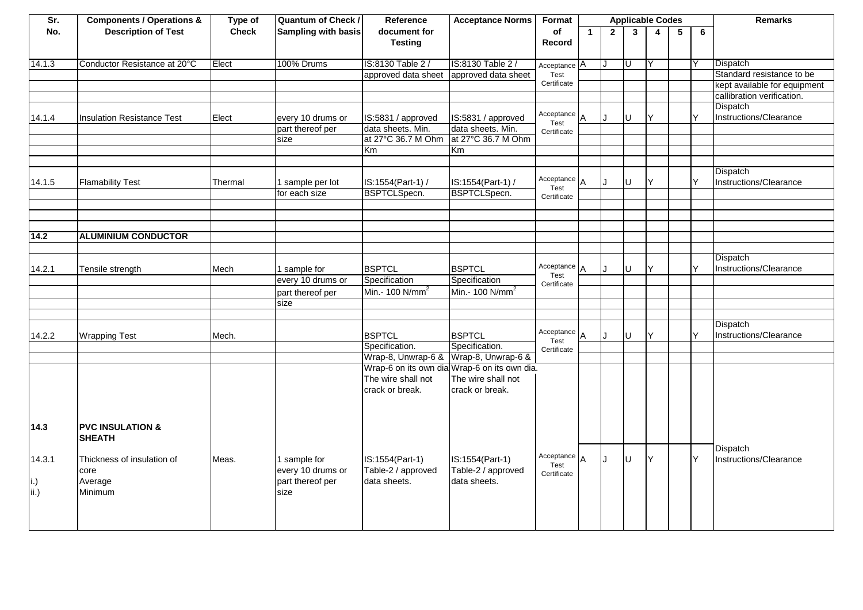| Sr.         | <b>Components / Operations &amp;</b> | Type of      | <b>Quantum of Check /</b> | Reference                             | <b>Acceptance Norms</b>                      | Format                 |              |              | <b>Applicable Codes</b> |                |                 |   | <b>Remarks</b>                     |
|-------------|--------------------------------------|--------------|---------------------------|---------------------------------------|----------------------------------------------|------------------------|--------------|--------------|-------------------------|----------------|-----------------|---|------------------------------------|
| No.         | <b>Description of Test</b>           | <b>Check</b> | Sampling with basis       | document for                          |                                              | of                     | $\mathbf{1}$ | $\mathbf{2}$ | $\mathbf{3}$            | $\overline{4}$ | $5\phantom{.0}$ | 6 |                                    |
|             |                                      |              |                           | <b>Testing</b>                        |                                              | Record                 |              |              |                         |                |                 |   |                                    |
|             |                                      |              |                           |                                       |                                              |                        |              |              |                         |                |                 |   |                                    |
| 14.1.3      | Conductor Resistance at 20°C         | Elect        | 100% Drums                | IS:8130 Table 2                       | IS:8130 Table 2 /                            | Acceptance A           |              |              | Ū                       | ΙY             |                 |   | Dispatch                           |
|             |                                      |              |                           | approved data sheet                   | approved data sheet                          | Test                   |              |              |                         |                |                 |   | Standard resistance to be          |
|             |                                      |              |                           |                                       |                                              | Certificate            |              |              |                         |                |                 |   | kept available for equipment       |
|             |                                      |              |                           |                                       |                                              |                        |              |              |                         |                |                 |   | callibration verification.         |
|             |                                      |              |                           |                                       |                                              |                        |              |              |                         |                |                 |   | Dispatch                           |
| 14.1.4      | <b>Insulation Resistance Test</b>    | Elect        | every 10 drums or         | IS:5831 / approved                    | IS:5831 / approved                           | Acceptance A<br>Test   |              | $\cdot$      | IJ                      |                |                 | Y | Instructions/Clearance             |
|             |                                      |              | part thereof per          | data sheets. Min.                     | data sheets. Min.                            | Certificate            |              |              |                         |                |                 |   |                                    |
|             |                                      |              | size                      | at 27°C 36.7 M Ohm                    | at 27°C 36.7 M Ohm                           |                        |              |              |                         |                |                 |   |                                    |
|             |                                      |              |                           | Km                                    | Km                                           |                        |              |              |                         |                |                 |   |                                    |
|             |                                      |              |                           |                                       |                                              |                        |              |              |                         |                |                 |   |                                    |
|             |                                      |              |                           |                                       |                                              |                        |              |              |                         |                |                 |   | Dispatch                           |
| 14.1.5      | <b>Flamability Test</b>              | Thermal      | 1 sample per lot          | IS:1554(Part-1) /                     | IS:1554(Part-1) /                            | Acceptance $A$<br>Test |              |              | U                       |                |                 | ∨ | Instructions/Clearance             |
|             |                                      |              | for each size             | <b>BSPTCLSpecn.</b>                   | BSPTCLSpecn.                                 | Certificate            |              |              |                         |                |                 |   |                                    |
|             |                                      |              |                           |                                       |                                              |                        |              |              |                         |                |                 |   |                                    |
|             |                                      |              |                           |                                       |                                              |                        |              |              |                         |                |                 |   |                                    |
|             |                                      |              |                           |                                       |                                              |                        |              |              |                         |                |                 |   |                                    |
| 14.2        | <b>ALUMINIUM CONDUCTOR</b>           |              |                           |                                       |                                              |                        |              |              |                         |                |                 |   |                                    |
|             |                                      |              |                           |                                       |                                              |                        |              |              |                         |                |                 |   |                                    |
|             |                                      |              |                           |                                       |                                              |                        |              |              |                         |                |                 |   | Dispatch                           |
| 14.2.1      | Tensile strength                     | Mech         | 1 sample for              | <b>BSPTCL</b>                         | <b>BSPTCL</b>                                | Acceptance $A$<br>Test |              |              | $\mathbf{U}$            |                |                 | v | Instructions/Clearance             |
|             |                                      |              | every 10 drums or         | Specification                         | Specification                                | Certificate            |              |              |                         |                |                 |   |                                    |
|             |                                      |              | part thereof per          | Min.- 100 N/mm <sup>2</sup>           | Min.- 100 N/mm <sup>2</sup>                  |                        |              |              |                         |                |                 |   |                                    |
|             |                                      |              | size                      |                                       |                                              |                        |              |              |                         |                |                 |   |                                    |
|             |                                      |              |                           |                                       |                                              |                        |              |              |                         |                |                 |   |                                    |
|             |                                      |              |                           |                                       |                                              |                        |              |              |                         |                |                 |   | <b>Dispatch</b>                    |
| 14.2.2      | <b>Wrapping Test</b>                 | Mech.        |                           | <b>BSPTCL</b>                         | <b>BSPTCL</b>                                | Acceptance $A$<br>Test |              |              | U                       | Y              |                 | Y | Instructions/Clearance             |
|             |                                      |              |                           | Specification.                        | Specification.                               | Certificate            |              |              |                         |                |                 |   |                                    |
|             |                                      |              |                           | Wrap-8, Unwrap-6 & Wrap-8, Unwrap-6 & |                                              |                        |              |              |                         |                |                 |   |                                    |
|             |                                      |              |                           |                                       | Wrap-6 on its own dia Wrap-6 on its own dia. |                        |              |              |                         |                |                 |   |                                    |
|             |                                      |              |                           | The wire shall not                    | The wire shall not                           |                        |              |              |                         |                |                 |   |                                    |
|             |                                      |              |                           | crack or break.                       | crack or break.                              |                        |              |              |                         |                |                 |   |                                    |
|             |                                      |              |                           |                                       |                                              |                        |              |              |                         |                |                 |   |                                    |
|             |                                      |              |                           |                                       |                                              |                        |              |              |                         |                |                 |   |                                    |
|             |                                      |              |                           |                                       |                                              |                        |              |              |                         |                |                 |   |                                    |
| 14.3        | <b>PVC INSULATION &amp;</b>          |              |                           |                                       |                                              |                        |              |              |                         |                |                 |   |                                    |
|             | <b>SHEATH</b>                        |              |                           |                                       |                                              |                        |              |              |                         |                |                 |   |                                    |
| 14.3.1      | Thickness of insulation of           | Meas.        | 1 sample for              | IS:1554(Part-1)                       | IS:1554(Part-1)                              | Acceptance $A$         |              |              | U                       | Υ              |                 | Y | Dispatch<br>Instructions/Clearance |
|             | core                                 |              | every 10 drums or         | Table-2 / approved                    | Table-2 / approved                           | Test                   |              |              |                         |                |                 |   |                                    |
|             | Average                              |              | part thereof per          | data sheets.                          | data sheets.                                 | Certificate            |              |              |                         |                |                 |   |                                    |
| i.)<br>ii.) | Minimum                              |              | size                      |                                       |                                              |                        |              |              |                         |                |                 |   |                                    |
|             |                                      |              |                           |                                       |                                              |                        |              |              |                         |                |                 |   |                                    |
|             |                                      |              |                           |                                       |                                              |                        |              |              |                         |                |                 |   |                                    |
|             |                                      |              |                           |                                       |                                              |                        |              |              |                         |                |                 |   |                                    |
|             |                                      |              |                           |                                       |                                              |                        |              |              |                         |                |                 |   |                                    |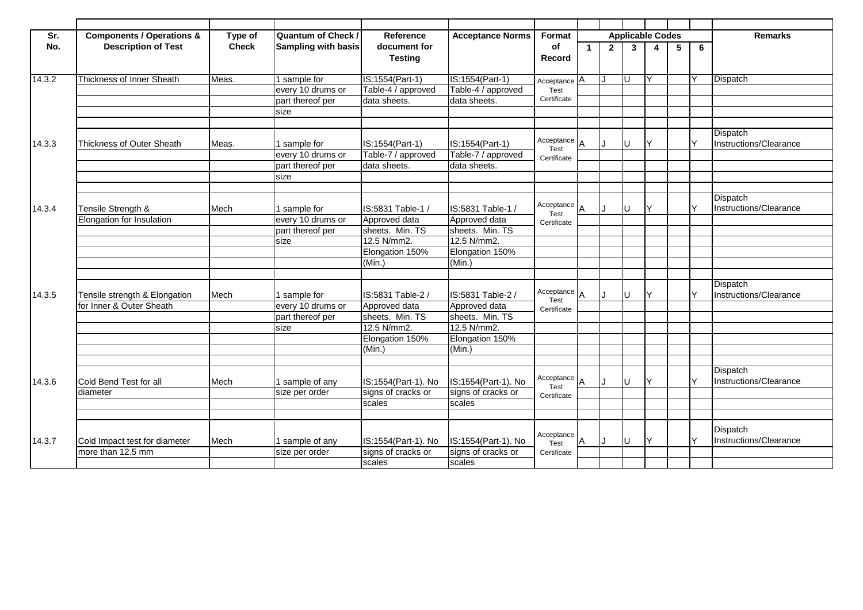| Sr.    | <b>Components / Operations &amp;</b> | Type of      | <b>Quantum of Check /</b>  | Reference           | <b>Acceptance Norms</b> | Format               |             |                | <b>Applicable Codes</b> |              |   |   | <b>Remarks</b>         |
|--------|--------------------------------------|--------------|----------------------------|---------------------|-------------------------|----------------------|-------------|----------------|-------------------------|--------------|---|---|------------------------|
| No.    | <b>Description of Test</b>           | <b>Check</b> | <b>Sampling with basis</b> | document for        |                         | of                   | $\mathbf 1$ | $\overline{2}$ | 3                       | 4            | 5 | 6 |                        |
|        |                                      |              |                            | <b>Testing</b>      |                         | Record               |             |                |                         |              |   |   |                        |
|        |                                      |              |                            |                     |                         |                      |             |                |                         |              |   |   |                        |
| 14.3.2 | Thickness of Inner Sheath            | Meas.        | 1 sample for               | IS:1554(Part-1)     | IS:1554(Part-1)         | Acceptance A         |             | IJ             | ΙU                      | Y            |   |   | Dispatch               |
|        |                                      |              | every 10 drums or          | Table-4 / approved  | Table-4 / approved      | Test                 |             |                |                         |              |   |   |                        |
|        |                                      |              | part thereof per           | data sheets.        | data sheets.            | Certificate          |             |                |                         |              |   |   |                        |
|        |                                      |              | size                       |                     |                         |                      |             |                |                         |              |   |   |                        |
|        |                                      |              |                            |                     |                         |                      |             |                |                         |              |   |   |                        |
|        |                                      |              |                            |                     |                         |                      |             |                |                         |              |   |   | Dispatch               |
| 14.3.3 | <b>Thickness of Outer Sheath</b>     | Meas.        | 1 sample for               | IS:1554(Part-1)     | IS:1554(Part-1)         | Acceptance<br>Test   | <b>JA</b>   |                | ΙU                      | Y            |   |   | Instructions/Clearance |
|        |                                      |              | every 10 drums or          | Table-7 / approved  | Table-7 / approved      | Certificate          |             |                |                         |              |   |   |                        |
|        |                                      |              | part thereof per           | data sheets.        | data sheets.            |                      |             |                |                         |              |   |   |                        |
|        |                                      |              | size                       |                     |                         |                      |             |                |                         |              |   |   |                        |
|        |                                      |              |                            |                     |                         |                      |             |                |                         |              |   |   |                        |
|        |                                      |              |                            |                     |                         |                      |             |                |                         |              |   |   | Dispatch               |
| 14.3.4 | Tensile Strength &                   | Mech         | 1 sample for               | IS:5831 Table-1 /   | IS:5831 Table-1 /       | Acceptance<br>Test   |             |                | lu                      | v            |   |   | Instructions/Clearance |
|        | Elongation for Insulation            |              | every 10 drums or          | Approved data       | Approved data           | Certificate          |             |                |                         |              |   |   |                        |
|        |                                      |              | part thereof per           | sheets. Min. TS     | sheets. Min. TS         |                      |             |                |                         |              |   |   |                        |
|        |                                      |              | size                       | 12.5 N/mm2.         | 12.5 N/mm2.             |                      |             |                |                         |              |   |   |                        |
|        |                                      |              |                            | Elongation 150%     | Elongation 150%         |                      |             |                |                         |              |   |   |                        |
|        |                                      |              |                            | (Min.)              | (Min.)                  |                      |             |                |                         |              |   |   |                        |
|        |                                      |              |                            |                     |                         |                      |             |                |                         |              |   |   |                        |
|        |                                      |              |                            |                     |                         |                      |             |                |                         |              |   |   | Dispatch               |
| 14.3.5 | Tensile strength & Elongation        | Mech         | sample for                 | IS:5831 Table-2 /   | IS:5831 Table-2 /       | Acceptance A<br>Test |             | IJ             | lU                      | $\checkmark$ |   |   | Instructions/Clearance |
|        | for Inner & Outer Sheath             |              | every 10 drums or          | Approved data       | Approved data           | Certificate          |             |                |                         |              |   |   |                        |
|        |                                      |              | part thereof per           | sheets. Min. TS     | sheets. Min. TS         |                      |             |                |                         |              |   |   |                        |
|        |                                      |              | size                       | 12.5 N/mm2.         | 12.5 N/mm2.             |                      |             |                |                         |              |   |   |                        |
|        |                                      |              |                            | Elongation 150%     | Elongation 150%         |                      |             |                |                         |              |   |   |                        |
|        |                                      |              |                            | (Min.)              | (Min.)                  |                      |             |                |                         |              |   |   |                        |
|        |                                      |              |                            |                     |                         |                      |             |                |                         |              |   |   |                        |
|        |                                      |              |                            |                     |                         |                      |             |                |                         |              |   |   | Dispatch               |
| 14.3.6 | Cold Bend Test for all               | Mech         | 1 sample of any            | IS:1554(Part-1). No | IS:1554(Part-1). No     | Acceptance A<br>Test |             |                | lU                      | v            |   |   | Instructions/Clearance |
|        | diameter                             |              | size per order             | signs of cracks or  | signs of cracks or      | Certificate          |             |                |                         |              |   |   |                        |
|        |                                      |              |                            | scales              | scales                  |                      |             |                |                         |              |   |   |                        |
|        |                                      |              |                            |                     |                         |                      |             |                |                         |              |   |   |                        |
|        |                                      |              |                            |                     |                         |                      |             |                |                         |              |   |   | Dispatch               |
| 14.3.7 | Cold Impact test for diameter        | Mech         | 1 sample of any            | IS:1554(Part-1). No | IS:1554(Part-1). No     | Acceptance           | <b>A</b>    | IJ             | Iυ                      | ΙY           |   |   | Instructions/Clearance |
|        | more than 12.5 mm                    |              | size per order             | signs of cracks or  | signs of cracks or      | Test<br>Certificate  |             |                |                         |              |   |   |                        |
|        |                                      |              |                            | scales              | scales                  |                      |             |                |                         |              |   |   |                        |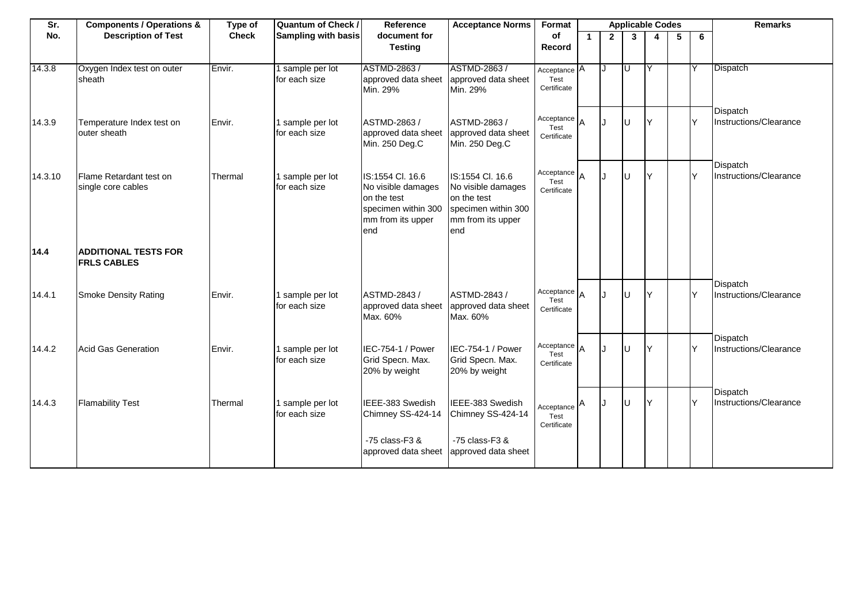| Sr.     | <b>Components / Operations &amp;</b>              | Type of      | <b>Quantum of Check /</b>         | Reference                                                                                                | <b>Acceptance Norms</b>                                                                                  | Format                                |             |                |              | <b>Applicable Codes</b> |    |     | <b>Remarks</b>                     |
|---------|---------------------------------------------------|--------------|-----------------------------------|----------------------------------------------------------------------------------------------------------|----------------------------------------------------------------------------------------------------------|---------------------------------------|-------------|----------------|--------------|-------------------------|----|-----|------------------------------------|
| No.     | <b>Description of Test</b>                        | <b>Check</b> | <b>Sampling with basis</b>        | document for<br><b>Testing</b>                                                                           |                                                                                                          | of<br>Record                          | $\mathbf 1$ | $\overline{2}$ | $\mathbf{3}$ | 4                       | -5 | 6   |                                    |
| 14.3.8  | Oxygen Index test on outer<br>sheath              | Envir.       | sample per lot<br>for each size   | ASTMD-2863 /<br>approved data sheet<br>Min. 29%                                                          | ASTMD-2863/<br>approved data sheet<br>Min. 29%                                                           | Acceptance A<br>Test<br>Certificate   |             |                | U            | IY                      |    |     | Dispatch                           |
| 14.3.9  | Temperature Index test on<br>outer sheath         | Envir.       | 1 sample per lot<br>for each size | ASTMD-2863 /<br>approved data sheet<br>Min. 250 Deg.C                                                    | ASTMD-2863 /<br>approved data sheet<br>Min. 250 Deg.C                                                    | Acceptance A<br>Test<br>Certificate   |             | $\cdot$        |              |                         |    | Y   | Dispatch<br>Instructions/Clearance |
| 14.3.10 | Flame Retardant test on<br>single core cables     | Thermal      | 1 sample per lot<br>for each size | IS:1554 Cl. 16.6<br>No visible damages<br>on the test<br>specimen within 300<br>mm from its upper<br>end | IS:1554 Cl. 16.6<br>No visible damages<br>on the test<br>specimen within 300<br>mm from its upper<br>end | Acceptance A<br>Test<br>Certificate   |             | . I            |              | Y                       |    | Y   | Dispatch<br>Instructions/Clearance |
| 14.4    | <b>ADDITIONAL TESTS FOR</b><br><b>FRLS CABLES</b> |              |                                   |                                                                                                          |                                                                                                          |                                       |             |                |              |                         |    |     |                                    |
| 14.4.1  | <b>Smoke Density Rating</b>                       | Envir.       | 1 sample per lot<br>for each size | ASTMD-2843 /<br>approved data sheet<br>Max. 60%                                                          | ASTMD-2843 /<br>approved data sheet<br>Max. 60%                                                          | Acceptance $A$<br>Test<br>Certificate |             | . I            |              | lΥ                      |    | Y   | Dispatch<br>Instructions/Clearance |
| 14.4.2  | <b>Acid Gas Generation</b>                        | Envir.       | 1 sample per lot<br>for each size | IEC-754-1 / Power<br>Grid Specn. Max.<br>20% by weight                                                   | IEC-754-1 / Power<br>Grid Specn. Max.<br>20% by weight                                                   | Acceptance $A$<br>Test<br>Certificate |             | $\cdot$        |              | lY.                     |    | lY. | Dispatch<br>Instructions/Clearance |
| 14.4.3  | <b>Flamability Test</b>                           | Thermal      | 1 sample per lot<br>for each size | IEEE-383 Swedish<br>Chimney SS-424-14                                                                    | IEEE-383 Swedish<br>Chimney SS-424-14                                                                    | Acceptance A<br>Test<br>Certificate   |             |                |              | IY.                     |    | lY. | Dispatch<br>Instructions/Clearance |
|         |                                                   |              |                                   | -75 class-F3 &<br>approved data sheet                                                                    | -75 class-F3 &<br>approved data sheet                                                                    |                                       |             |                |              |                         |    |     |                                    |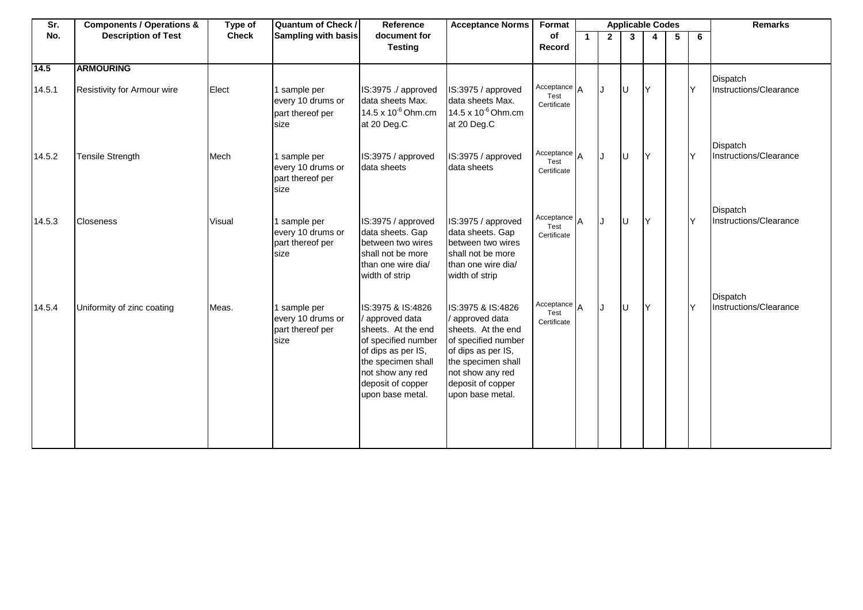| Sr.            | <b>Components / Operations &amp;</b>            | Type of      | Quantum of Check /                                            | Reference                                                                                                                                                                                | <b>Acceptance Norms</b>                                                                                                                                                                    | Format                                |    |              | <b>Applicable Codes</b> |     |    |     | <b>Remarks</b>                     |
|----------------|-------------------------------------------------|--------------|---------------------------------------------------------------|------------------------------------------------------------------------------------------------------------------------------------------------------------------------------------------|--------------------------------------------------------------------------------------------------------------------------------------------------------------------------------------------|---------------------------------------|----|--------------|-------------------------|-----|----|-----|------------------------------------|
| No.            | <b>Description of Test</b>                      | <b>Check</b> | Sampling with basis                                           | document for<br><b>Testing</b>                                                                                                                                                           |                                                                                                                                                                                            | of<br>Record                          | 1. | $\mathbf{2}$ | $3^{\circ}$             | 4   | -5 | 6   |                                    |
| 14.5<br>14.5.1 | <b>ARMOURING</b><br>Resistivity for Armour wire | Elect        | sample per<br>every 10 drums or<br>part thereof per<br>size   | IS:3975 ./ approved<br>data sheets Max.<br>14.5 x 10 <sup>-6</sup> Ohm.cm<br>at 20 Deg.C                                                                                                 | IS:3975 / approved<br>data sheets Max.<br>14.5 x 10 <sup>-6</sup> Ohm.cm<br>at 20 Deg.C                                                                                                    | Acceptance A<br>Test<br>Certificate   |    |              | lu                      | IY  |    | Y   | Dispatch<br>Instructions/Clearance |
| 14.5.2         | <b>Tensile Strength</b>                         | Mech         | 1 sample per<br>every 10 drums or<br>part thereof per<br>size | IS:3975 / approved<br>data sheets                                                                                                                                                        | IS:3975 / approved<br>data sheets                                                                                                                                                          | Acceptance $A$<br>Test<br>Certificate |    | IJ           | Iυ                      | IY. |    | Y   | Dispatch<br>Instructions/Clearance |
| 14.5.3         | <b>Closeness</b>                                | Visual       | 1 sample per<br>every 10 drums or<br>part thereof per<br>size | IS:3975 / approved<br>data sheets. Gap<br>between two wires<br>shall not be more<br>than one wire dia/<br>width of strip                                                                 | IS:3975 / approved<br>data sheets. Gap<br>between two wires<br>shall not be more<br>than one wire dia/<br>width of strip                                                                   | Acceptance $A$<br>Test<br>Certificate |    | IJ           | Iυ                      | ΙY  |    | lY. | Dispatch<br>Instructions/Clearance |
| 14.5.4         | Uniformity of zinc coating                      | Meas.        | 1 sample per<br>every 10 drums or<br>part thereof per<br>size | IS:3975 & IS:4826<br>approved data<br>sheets. At the end<br>of specified number<br>of dips as per IS,<br>the specimen shall<br>not show any red<br>deposit of copper<br>upon base metal. | IS:3975 & IS:4826<br>/ approved data<br>sheets. At the end<br>of specified number<br>of dips as per IS,<br>the specimen shall<br>not show any red<br>deposit of copper<br>upon base metal. | Acceptance $A$<br>Test<br>Certificate |    | IJ           | lυ                      | İΥ  |    | Y   | Dispatch<br>Instructions/Clearance |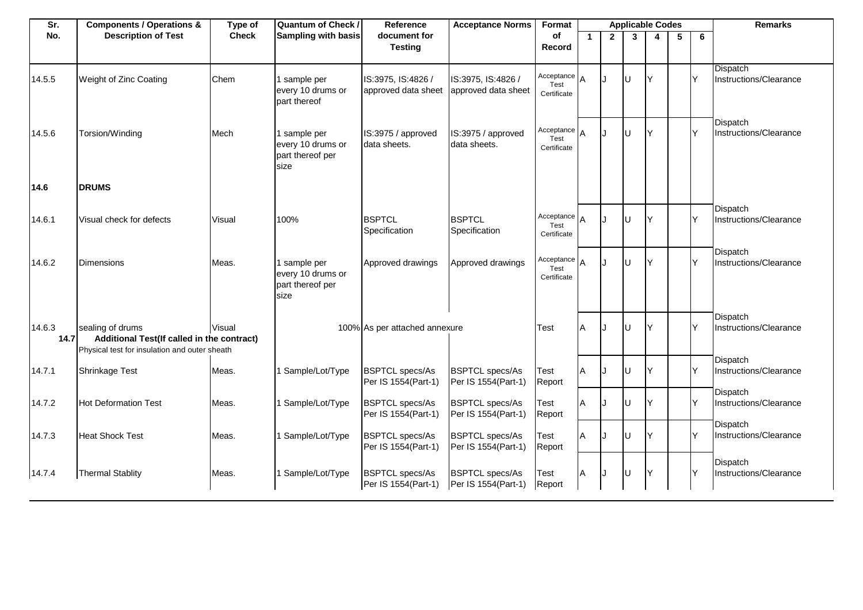| Sr.            | <b>Components / Operations &amp;</b>                                                                            | Type of      | Quantum of Check /                                            | Reference                                     | <b>Acceptance Norms</b>                       | Format                                |   |                | <b>Applicable Codes</b> |    |   |     | <b>Remarks</b>                            |
|----------------|-----------------------------------------------------------------------------------------------------------------|--------------|---------------------------------------------------------------|-----------------------------------------------|-----------------------------------------------|---------------------------------------|---|----------------|-------------------------|----|---|-----|-------------------------------------------|
| No.            | <b>Description of Test</b>                                                                                      | <b>Check</b> | Sampling with basis                                           | document for<br><b>Testing</b>                |                                               | of<br>Record                          | 1 | $\overline{2}$ | $\overline{3}$          |    | 5 | 6   |                                           |
| 14.5.5         | Weight of Zinc Coating                                                                                          | Chem         | 1 sample per<br>every 10 drums or<br>part thereof             | IS:3975, IS:4826 /<br>approved data sheet     | IS:3975, IS:4826 /<br>approved data sheet     | Acceptance $A$<br>Test<br>Certificate |   | J.             | U                       |    |   | Y   | <b>Dispatch</b><br>Instructions/Clearance |
| 14.5.6         | Torsion/Winding                                                                                                 | Mech         | 1 sample per<br>every 10 drums or<br>part thereof per<br>size | IS:3975 / approved<br>data sheets.            | IS:3975 / approved<br>data sheets.            | Acceptance A<br>Test<br>Certificate   |   | $\cdot$        | U                       | Ιv |   | Y   | Dispatch<br>Instructions/Clearance        |
| 14.6           | <b>DRUMS</b>                                                                                                    |              |                                                               |                                               |                                               |                                       |   |                |                         |    |   |     |                                           |
| 14.6.1         | Visual check for defects                                                                                        | Visual       | 100%                                                          | <b>BSPTCL</b><br>Specification                | <b>BSPTCL</b><br>Specification                | Acceptance $A$<br>Test<br>Certificate |   | J              | U                       |    |   | Y   | Dispatch<br>Instructions/Clearance        |
| 14.6.2         | Dimensions                                                                                                      | Meas.        | 1 sample per<br>every 10 drums or<br>part thereof per<br>size | Approved drawings                             | Approved drawings                             | Acceptance A<br>Test<br>Certificate   |   | $\mathbf{I}$   | U                       | ΙY |   | lY. | Dispatch<br>Instructions/Clearance        |
| 14.6.3<br>14.7 | sealing of drums<br>Additional Test(If called in the contract)<br>Physical test for insulation and outer sheath | Visual       |                                                               | 100% As per attached annexure                 |                                               | Test                                  | A |                |                         |    |   | Y   | Dispatch<br>Instructions/Clearance        |
| 14.7.1         | Shrinkage Test                                                                                                  | Meas.        | 1 Sample/Lot/Type                                             | <b>BSPTCL specs/As</b><br>Per IS 1554(Part-1) | <b>BSPTCL specs/As</b><br>Per IS 1554(Part-1) | Test<br>Report                        | Α | Τ.             |                         |    |   | Y   | Dispatch<br>Instructions/Clearance        |
| 14.7.2         | <b>Hot Deformation Test</b>                                                                                     | Meas.        | 1 Sample/Lot/Type                                             | <b>BSPTCL specs/As</b><br>Per IS 1554(Part-1) | <b>BSPTCL specs/As</b><br>Per IS 1554(Part-1) | Test<br>Report                        | A |                |                         |    |   | Y   | Dispatch<br>Instructions/Clearance        |
| 14.7.3         | <b>Heat Shock Test</b>                                                                                          | Meas.        | 1 Sample/Lot/Type                                             | <b>BSPTCL specs/As</b><br>Per IS 1554(Part-1) | <b>BSPTCL specs/As</b><br>Per IS 1554(Part-1) | Test<br>Report                        | A | . I            |                         |    |   | Y   | Dispatch<br>Instructions/Clearance        |
| 14.7.4         | <b>Thermal Stablity</b>                                                                                         | Meas.        | 1 Sample/Lot/Type                                             | <b>BSPTCL specs/As</b><br>Per IS 1554(Part-1) | <b>BSPTCL specs/As</b><br>Per IS 1554(Part-1) | <b>Test</b><br>Report                 | A |                |                         |    |   | Y   | Dispatch<br>Instructions/Clearance        |